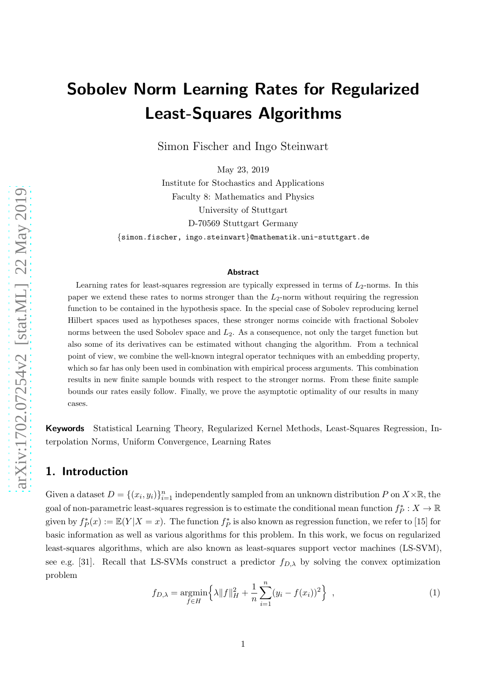# Sobolev Norm Learning Rates for Regularized Least-Squares Algorithms

Simon Fischer and Ingo Steinwart

May 23, 2019 Institute for Stochastics and Applications Faculty 8: Mathematics and Physics University of Stuttgart D-70569 Stuttgart Germany {simon.fischer, ingo.steinwart}@mathematik.uni-stuttgart.de

#### Abstract

Learning rates for least-squares regression are typically expressed in terms of  $L_2$ -norms. In this paper we extend these rates to norms stronger than the  $L_2$ -norm without requiring the regression function to be contained in the hypothesis space. In the special case of Sobolev reproducing kernel Hilbert spaces used as hypotheses spaces, these stronger norms coincide with fractional Sobolev norms between the used Sobolev space and  $L_2$ . As a consequence, not only the target function but also some of its derivatives can be estimated without changing the algorithm. From a technical point of view, we combine the well-known integral operator techniques with an embedding property, which so far has only been used in combination with empirical process arguments. This combination results in new finite sample bounds with respect to the stronger norms. From these finite sample bounds our rates easily follow. Finally, we prove the asymptotic optimality of our results in many cases.

Keywords Statistical Learning Theory, Regularized Kernel Methods, Least-Squares Regression, Interpolation Norms, Uniform Convergence, Learning Rates

## 1. Introduction

Given a dataset  $D = \{(x_i, y_i)\}_{i=1}^n$  independently sampled from an unknown distribution P on  $X \times \mathbb{R}$ , the goal of non-parametric least-squares regression is to estimate the conditional mean function  $f_P^*: X \to \mathbb{R}$ given by  $f^*_{P}(x) := \mathbb{E}(Y|X=x)$ . The function  $f^*_{P}$  is also known as regression function, we refer to [\[15](#page-24-0)] for basic information as well as various algorithms for this problem. In this work, we focus on regularized least-squares algorithms, which are also known as least-squares support vector machines (LS-SVM), see e.g. [\[31](#page-25-0)]. Recall that LS-SVMs construct a predictor  $f_{D,\lambda}$  by solving the convex optimization problem

<span id="page-0-0"></span>
$$
f_{D,\lambda} = \underset{f \in H}{\text{argmin}} \left\{ \lambda \|f\|_{H}^{2} + \frac{1}{n} \sum_{i=1}^{n} (y_{i} - f(x_{i}))^{2} \right\}, \qquad (1)
$$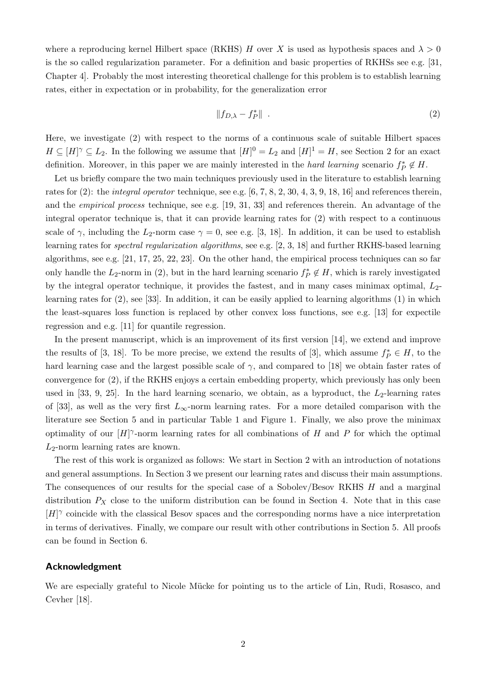where a reproducing kernel Hilbert space (RKHS) H over X is used as hypothesis spaces and  $\lambda > 0$ is the so called regularization parameter. For a definition and basic properties of RKHSs see e.g. [\[31,](#page-25-0) Chapter 4]. Probably the most interesting theoretical challenge for this problem is to establish learning rates, either in expectation or in probability, for the generalization error

<span id="page-1-0"></span>
$$
||f_{D,\lambda} - f_P^*|| \tag{2}
$$

Here, we investigate [\(2\)](#page-1-0) with respect to the norms of a continuous scale of suitable Hilbert spaces  $H \subseteq [H]^\gamma \subseteq L_2$ . In the following we assume that  $[H] = L_2$  and  $[H] = H$ , see Section [2](#page-2-0) for an exact definition. Moreover, in this paper we are mainly interested in the *hard learning* scenario  $f_P^* \notin H$ .

Let us briefly compare the two main techniques previously used in the literature to establish learning rates for  $(2)$ : the *integral operator* technique, see e.g. [\[6,](#page-24-1) [7](#page-24-2), [8](#page-24-3), [2](#page-24-4), [30,](#page-25-1) [4](#page-24-5), [3](#page-24-6), [9](#page-24-7), [18,](#page-24-8) [16](#page-24-9)] and references therein, and the empirical process technique, see e.g. [\[19,](#page-24-10) [31,](#page-25-0) [33](#page-25-2)] and references therein. An advantage of the integral operator technique is, that it can provide learning rates for [\(2\)](#page-1-0) with respect to a continuous scale of  $\gamma$ , including the L<sub>2</sub>-norm case  $\gamma = 0$ , see e.g. [\[3](#page-24-6), [18](#page-24-8)]. In addition, it can be used to establish learning rates for spectral regularization algorithms, see e.g. [\[2,](#page-24-4) [3](#page-24-6), [18](#page-24-8)] and further RKHS-based learning algorithms, see e.g. [\[21](#page-25-3), [17,](#page-24-11) [25](#page-25-4), [22](#page-25-5), [23](#page-25-6)]. On the other hand, the empirical process techniques can so far only handle the  $L_2$ -norm in [\(2\)](#page-1-0), but in the hard learning scenario  $f_P^* \notin H$ , which is rarely investigated by the integral operator technique, it provides the fastest, and in many cases minimax optimal,  $L_2$ learning rates for [\(2\)](#page-1-0), see [\[33\]](#page-25-2). In addition, it can be easily applied to learning algorithms [\(1\)](#page-0-0) in which the least-squares loss function is replaced by other convex loss functions, see e.g. [\[13](#page-24-12)] for expectile regression and e.g. [\[11](#page-24-13)] for quantile regression.

In the present manuscript, which is an improvement of its first version [\[14](#page-24-14)], we extend and improve the results of [\[3](#page-24-6), [18](#page-24-8)]. To be more precise, we extend the results of [3], which assume  $f_P^* \in H$ , to the hard learning case and the largest possible scale of  $\gamma$ , and compared to [\[18\]](#page-24-8) we obtain faster rates of convergence for [\(2\)](#page-1-0), if the RKHS enjoys a certain embedding property, which previously has only been used in [\[33](#page-25-2), [9,](#page-24-7) [25](#page-25-4)]. In the hard learning scenario, we obtain, as a byproduct, the  $L_2$ -learning rates of [\[33](#page-25-2)], as well as the very first  $L_{\infty}$ -norm learning rates. For a more detailed comparison with the literature see Section [5](#page-9-0) and in particular Table [1](#page-9-1) and Figure [1.](#page-10-0) Finally, we also prove the minimax optimality of our  $[H]$ <sup> $\gamma$ </sup>-norm learning rates for all combinations of H and P for which the optimal  $L_2$ -norm learning rates are known.

The rest of this work is organized as follows: We start in Section [2](#page-2-0) with an introduction of notations and general assumptions. In Section [3](#page-3-0) we present our learning rates and discuss their main assumptions. The consequences of our results for the special case of a Sobolev/Besov RKHS H and a marginal distribution  $P_X$  close to the uniform distribution can be found in Section [4.](#page-6-0) Note that in this case  $[H]$ <sup> $\gamma$ </sup> coincide with the classical Besov spaces and the corresponding norms have a nice interpretation in terms of derivatives. Finally, we compare our result with other contributions in Section [5.](#page-9-0) All proofs can be found in Section [6.](#page-11-0)

#### Acknowledgment

We are especially grateful to Nicole Mücke for pointing us to the article of Lin, Rudi, Rosasco, and Cevher [\[18](#page-24-8)].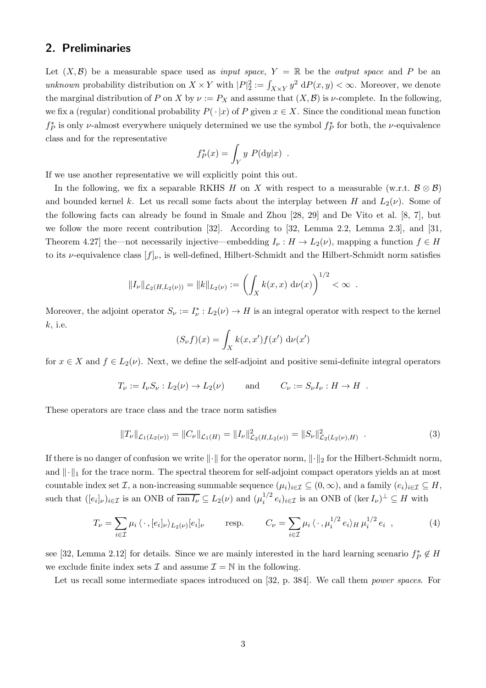## <span id="page-2-0"></span>2. Preliminaries

Let  $(X, \mathcal{B})$  be a measurable space used as *input space*,  $Y = \mathbb{R}$  be the *output space* and P be an unknown probability distribution on  $X \times Y$  with  $|P|^2_2 := \int_{X \times Y} y^2 dP(x, y) < \infty$ . Moreover, we denote the marginal distribution of P on X by  $\nu := P_X$  and assume that  $(X, \mathcal{B})$  is  $\nu$ -complete. In the following, we fix a (regular) conditional probability  $P(\cdot |x)$  of P given  $x \in X$ . Since the conditional mean function  $f_P^*$  is only v-almost everywhere uniquely determined we use the symbol  $f_P^*$  for both, the v-equivalence class and for the representative

$$
f_P^*(x) = \int_Y y P(dy|x) .
$$

If we use another representative we will explicitly point this out.

In the following, we fix a separable RKHS H on X with respect to a measurable (w.r.t.  $\mathcal{B} \otimes \mathcal{B}$ ) and bounded kernel k. Let us recall some facts about the interplay between H and  $L_2(\nu)$ . Some of the following facts can already be found in Smale and Zhou [\[28](#page-25-7), [29\]](#page-25-8) and De Vito et al. [\[8](#page-24-3), [7](#page-24-2)], but we follow the more recent contribution [\[32](#page-25-9)]. According to [\[32,](#page-25-9) Lemma 2.2, Lemma 2.3], and [\[31,](#page-25-0) Theorem 4.27] the—not necessarily injective—embedding  $I_{\nu}: H \to L_2(\nu)$ , mapping a function  $f \in H$ to its *v*-equivalence class  $[f]_{\nu}$ , is well-defined, Hilbert-Schmidt and the Hilbert-Schmidt norm satisfies

$$
||I_{\nu}||_{\mathcal{L}_2(H, L_2(\nu))} = ||k||_{L_2(\nu)} := \left(\int_X k(x, x) \, d\nu(x)\right)^{1/2} < \infty.
$$

Moreover, the adjoint operator  $S_{\nu} := I_{\nu}^* : L_2(\nu) \to H$  is an integral operator with respect to the kernel  $k$ , i.e.

$$
(S_{\nu}f)(x) = \int_X k(x, x') f(x') \, \mathrm{d}\nu(x')
$$

for  $x \in X$  and  $f \in L_2(\nu)$ . Next, we define the self-adjoint and positive semi-definite integral operators

$$
T_{\nu} := I_{\nu} S_{\nu} : L_2(\nu) \to L_2(\nu)
$$
 and  $C_{\nu} := S_{\nu} I_{\nu} : H \to H$ .

These operators are trace class and the trace norm satisfies

$$
||T_{\nu}||_{\mathcal{L}_1(L_2(\nu))} = ||C_{\nu}||_{\mathcal{L}_1(H)} = ||I_{\nu}||_{\mathcal{L}_2(H, L_2(\nu))}^2 = ||S_{\nu}||_{\mathcal{L}_2(L_2(\nu), H)}^2.
$$
\n(3)

If there is no danger of confusion we write  $\|\cdot\|$  for the operator norm,  $\|\cdot\|_2$  for the Hilbert-Schmidt norm, and  $\|\cdot\|_1$  for the trace norm. The spectral theorem for self-adjoint compact operators yields an at most countable index set  $\mathcal{I}$ , a non-increasing summable sequence  $(\mu_i)_{i\in\mathcal{I}}\subseteq(0,\infty)$ , and a family  $(e_i)_{i\in\mathcal{I}}\subseteq H$ , such that  $([e_i]_{\nu})_{i \in \mathcal{I}}$  is an ONB of  $\overline{\text{ran } I_{\nu}} \subseteq L_2(\nu)$  and  $(\mu_i^{1/2})$  $i^{1/2} e_i)_{i \in \mathcal{I}}$  is an ONB of  $(\ker I_{\nu})^{\perp} \subseteq H$  with

<span id="page-2-1"></span>
$$
T_{\nu} = \sum_{i \in \mathcal{I}} \mu_i \langle \cdot , [e_i]_{\nu} \rangle_{L_2(\nu)} [e_i]_{\nu} \qquad \text{resp.} \qquad C_{\nu} = \sum_{i \in \mathcal{I}} \mu_i \langle \cdot , \mu_i^{1/2} e_i \rangle_H \mu_i^{1/2} e_i \quad , \tag{4}
$$

see [\[32](#page-25-9), Lemma 2.12] for details. Since we are mainly interested in the hard learning scenario  $f_P^* \notin H$ we exclude finite index sets  $\mathcal I$  and assume  $\mathcal I = \mathbb N$  in the following.

Let us recall some intermediate spaces introduced on [\[32](#page-25-9), p. 384]. We call them *power spaces*. For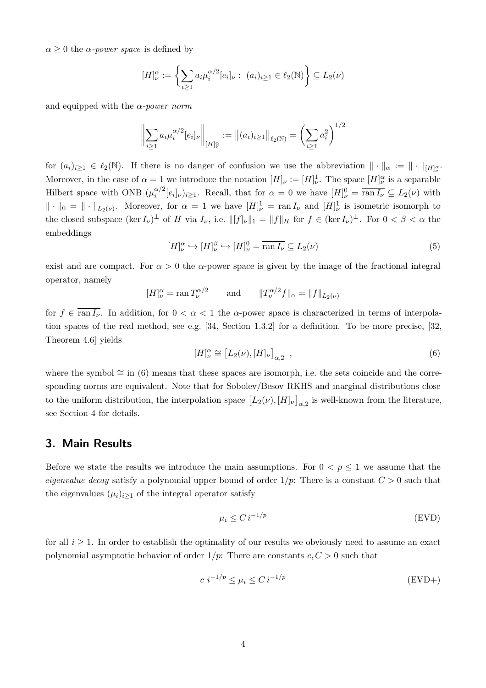$\alpha \geq 0$  the  $\alpha$ -power space is defined by

$$
[H]_{\nu}^{\alpha} := \left\{ \sum_{i \geq 1} a_i \mu_i^{\alpha/2} [e_i]_{\nu} : (a_i)_{i \geq 1} \in \ell_2(\mathbb{N}) \right\} \subseteq L_2(\nu)
$$

and equipped with the  $\alpha$ -power norm

$$
\left\| \sum_{i \ge 1} a_i \mu_i^{\alpha/2} [e_i]_{\nu} \right\|_{[H]_{\nu}^{\alpha}} := \left\| (a_i)_{i \ge 1} \right\|_{\ell_2(\mathbb{N})} = \left( \sum_{i \ge 1} a_i^2 \right)^{1/2}
$$

for  $(a_i)_{i\geq 1} \in \ell_2(\mathbb{N})$ . If there is no danger of confusion we use the abbreviation  $\|\cdot\|_{\alpha} := \|\cdot\|_{[H]_{\nu}^{\alpha}}$ . Moreover, in the case of  $\alpha = 1$  we introduce the notation  $[H]_{\nu} := [H]_{\nu}^1$ . The space  $[H]_{\nu}^{\alpha}$  is a separable Hilbert space with ONB  $(\mu_i^{\alpha/2})$  $i^{(\alpha/2)}[e_i]_{\nu}$ )<sub>i</sub> 21. Recall, that for  $\alpha = 0$  we have  $[H]_{\nu}^0 = \overline{\text{ran } I_{\nu}} \subseteq L_2(\nu)$  with  $\|\cdot\|_0 = \|\cdot\|_{L_2(\nu)}$ . Moreover, for  $\alpha = 1$  we have  $[H]_{\nu}^1 = \text{ran } I_{\nu}$  and  $[H]_{\nu}^1$  is isometric isomorph to the closed subspace  $(\ker I_{\nu})^{\perp}$  of H via  $I_{\nu}$ , i.e.  $||[f]_{\nu}||_1 = ||f||_H$  for  $f \in (\ker I_{\nu})^{\perp}$ . For  $0 < \beta < \alpha$  the embeddings

<span id="page-3-2"></span>
$$
[H]_{\nu}^{\alpha} \hookrightarrow [H]_{\nu}^{\beta} \hookrightarrow [H]_{\nu}^{0} = \overline{\operatorname{ran} I_{\nu}} \subseteq L_{2}(\nu)
$$
\n
$$
(5)
$$

exist and are compact. For  $\alpha > 0$  the  $\alpha$ -power space is given by the image of the fractional integral operator, namely

$$
[H]_{\nu}^{\alpha} = \text{ran}\, T_{\nu}^{\alpha/2} \qquad \text{and} \qquad ||T_{\nu}^{\alpha/2}f||_{\alpha} = ||f||_{L_2(\nu)}
$$

for  $f \in \overline{\text{ran } I_{\nu}}$ . In addition, for  $0 < \alpha < 1$  the  $\alpha$ -power space is characterized in terms of interpolation spaces of the real method, see e.g. [\[34,](#page-25-10) Section 1.3.2] for a definition. To be more precise, [\[32,](#page-25-9) Theorem 4.6] yields

<span id="page-3-1"></span>
$$
[H]_{\nu}^{\alpha} \cong [L_2(\nu), [H]_{\nu}]_{\alpha,2} \quad , \tag{6}
$$

where the symbol  $\cong$  in [\(6\)](#page-3-1) means that these spaces are isomorph, i.e. the sets coincide and the corresponding norms are equivalent. Note that for Sobolev/Besov RKHS and marginal distributions close to the uniform distribution, the interpolation space  $[L_2(\nu), [H]_\nu]_{\alpha,2}$  is well-known from the literature, see Section [4](#page-6-0) for details.

# <span id="page-3-0"></span>3. Main Results

Before we state the results we introduce the main assumptions. For  $0 < p \leq 1$  we assume that the eigenvalue decay satisfy a polynomial upper bound of order  $1/p$ : There is a constant  $C > 0$  such that the eigenvalues  $(\mu_i)_{i\geq 1}$  of the integral operator satisfy

<span id="page-3-4"></span><span id="page-3-3"></span>
$$
\mu_i \le C \, i^{-1/p} \tag{EVD}
$$

for all  $i \geq 1$ . In order to establish the optimality of our results we obviously need to assume an exact polynomial asymptotic behavior of order  $1/p$ : There are constants  $c, C > 0$  such that

$$
c \ i^{-1/p} \le \mu_i \le C \ i^{-1/p} \tag{EVD+}
$$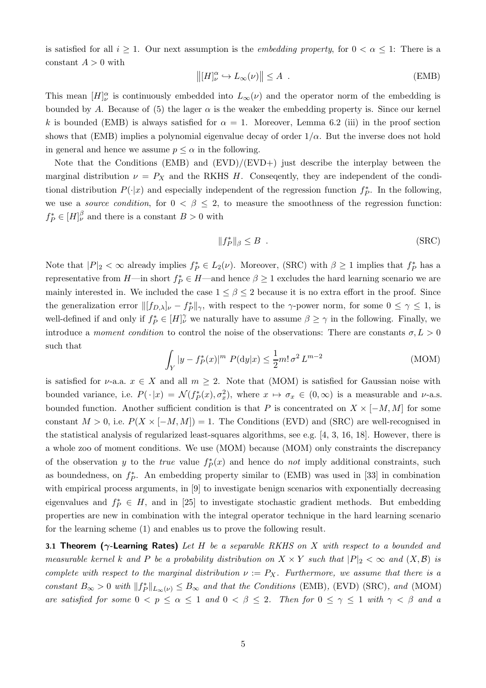is satisfied for all  $i \geq 1$ . Our next assumption is the *embedding property*, for  $0 < \alpha \leq 1$ : There is a constant  $A > 0$  with

<span id="page-4-0"></span>
$$
\left\| [H]_{\nu}^{\alpha} \hookrightarrow L_{\infty}(\nu) \right\| \leq A \quad . \tag{EMB}
$$

This mean  $[H]_{\nu}^{\alpha}$  is continuously embedded into  $L_{\infty}(\nu)$  and the operator norm of the embedding is bounded by A. Because of [\(5\)](#page-3-2) the lager  $\alpha$  is the weaker the embedding property is. Since our kernel k is bounded [\(EMB\)](#page-4-0) is always satisfied for  $\alpha = 1$ . Moreover, Lemma [6.2](#page-11-1) [\(iii\)](#page-11-2) in the proof section shows that [\(EMB\)](#page-4-0) implies a polynomial eigenvalue decay of order  $1/\alpha$ . But the inverse does not hold in general and hence we assume  $p \leq \alpha$  in the following.

Note that the Conditions [\(EMB\)](#page-4-0) and [\(EVD\)](#page-3-3)/[\(EVD+\)](#page-3-4) just describe the interplay between the marginal distribution  $\nu = P_X$  and the RKHS H. Consequently, they are independent of the conditional distribution  $P(\cdot|x)$  and especially independent of the regression function  $f_P^*$ . In the following, we use a *source condition*, for  $0 < \beta \leq 2$ , to measure the smoothness of the regression function:  $f_P^* \in [H]_{\nu}^{\beta}$  and there is a constant  $B > 0$  with

<span id="page-4-2"></span><span id="page-4-1"></span>
$$
||f_P^*||_{\beta} \le B . \tag{SRC}
$$

Note that  $|P|_2 < \infty$  already implies  $f_P^* \in L_2(\nu)$ . Moreover, [\(SRC\)](#page-4-1) with  $\beta \ge 1$  implies that  $f_P^*$  has a representative from  $H$ —in short  $f_P^* \in H$ —and hence  $\beta \geq 1$  excludes the hard learning scenario we are mainly interested in. We included the case  $1 \leq \beta \leq 2$  because it is no extra effort in the proof. Since the generalization error  $\|[f_{D,\lambda}]_\nu - f_P^*\|_{\gamma}$ , with respect to the γ-power norm, for some  $0 \le \gamma \le 1$ , is well-defined if and only if  $f_P^* \in [H]^{\gamma}_{\nu}$  we naturally have to assume  $\beta \geq \gamma$  in the following. Finally, we introduce a moment condition to control the noise of the observations: There are constants  $\sigma, L > 0$ such that

$$
\int_{Y} |y - f_{P}^{*}(x)|^{m} P(\mathrm{d}y|x) \le \frac{1}{2}m! \sigma^{2} L^{m-2}
$$
\n(MOM)

is satisfied for  $\nu$ -a.a.  $x \in X$  and all  $m \geq 2$ . Note that [\(MOM\)](#page-4-2) is satisfied for Gaussian noise with bounded variance, i.e.  $P(\cdot|x) = \mathcal{N}(f_P^*(x), \sigma_x^2)$ , where  $x \mapsto \sigma_x \in (0, \infty)$  is a measurable and  $\nu$ -a.s. bounded function. Another sufficient condition is that P is concentrated on  $X \times [-M, M]$  for some constant  $M > 0$ , i.e.  $P(X \times [-M, M]) = 1$ . The Conditions [\(EVD\)](#page-3-3) and [\(SRC\)](#page-4-1) are well-recognised in the statistical analysis of regularized least-squares algorithms, see e.g. [\[4,](#page-24-5) [3,](#page-24-6) [16](#page-24-9), [18\]](#page-24-8). However, there is a whole zoo of moment conditions. We use [\(MOM\)](#page-4-2) because [\(MOM\)](#page-4-2) only constraints the discrepancy of the observation y to the *true* value  $f^*_{P}(x)$  and hence do *not* imply additional constraints, such as boundedness, on  $f_P^*$ . An embedding property similar to [\(EMB\)](#page-4-0) was used in [\[33](#page-25-2)] in combination with empirical process arguments, in [\[9\]](#page-24-7) to investigate benign scenarios with exponentially decreasing eigenvalues and  $f_P^* \in H$ , and in [\[25\]](#page-25-4) to investigate stochastic gradient methods. But embedding properties are new in combination with the integral operator technique in the hard learning scenario for the learning scheme [\(1\)](#page-0-0) and enables us to prove the following result.

<span id="page-4-3"></span>**3.1 Theorem (** $\gamma$ **-Learning Rates)** Let H be a separable RKHS on X with respect to a bounded and measurable kernel k and P be a probability distribution on  $X \times Y$  such that  $|P|_2 < \infty$  and  $(X, \mathcal{B})$  is complete with respect to the marginal distribution  $\nu := P_X$ . Furthermore, we assume that there is a constant  $B_{\infty} > 0$  with  $||f_P^*||_{L_{\infty}(\nu)} \leq B_{\infty}$  and that the Conditions [\(EMB\)](#page-4-0), [\(EVD\)](#page-3-3) [\(SRC\)](#page-4-1), and [\(MOM\)](#page-4-2) are satisfied for some  $0 < p \le \alpha \le 1$  and  $0 < \beta \le 2$ . Then for  $0 \le \gamma \le 1$  with  $\gamma < \beta$  and a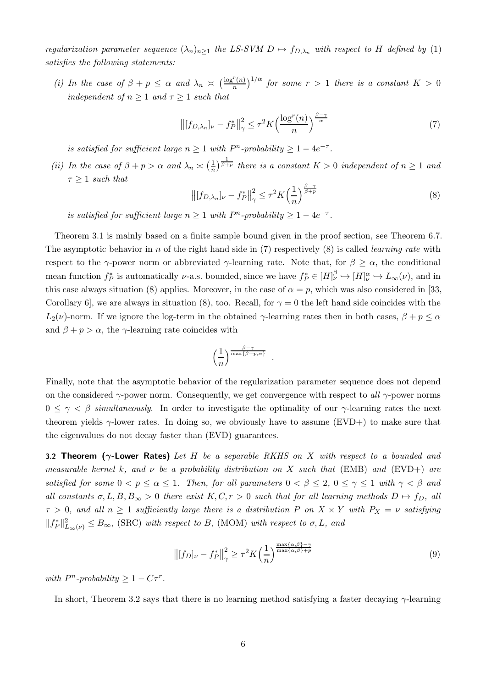regularization parameter sequence  $(\lambda_n)_{n>1}$  the LS-SVM  $D \mapsto f_{D,\lambda_n}$  with respect to H defined by [\(1\)](#page-0-0) satisfies the following statements:

(i) In the case of  $\beta + p \leq \alpha$  and  $\lambda_n \geq \left(\frac{\log^r(n)}{n}\right)$  $\left(\frac{r(n)}{n}\right)^{1/\alpha}$  for some  $r\,>\,1$  there is a constant  $K\,>\,0$ independent of  $n \geq 1$  and  $\tau \geq 1$  such that

<span id="page-5-0"></span>
$$
\left\| [f_{D,\lambda_n}]_\nu - f_P^* \right\|_\gamma^2 \le \tau^2 K \left( \frac{\log^r(n)}{n} \right)^{\frac{\beta - \gamma}{\alpha}} \tag{7}
$$

is satisfied for sufficient large  $n \geq 1$  with  $P<sup>n</sup>$ -probability  $\geq 1 - 4e^{-\tau}$ .

(ii) In the case of  $\beta + p > \alpha$  and  $\lambda_n \geq \left(\frac{1}{n}\right)$  $\frac{1}{n}$  $\frac{1}{\beta+p}$  there is a constant  $K > 0$  independent of  $n \geq 1$  and  $\tau > 1$  such that

<span id="page-5-1"></span>
$$
\left\| [f_{D,\lambda_n}]_\nu - f_P^* \right\|_\gamma^2 \le \tau^2 K \left( \frac{1}{n} \right)^{\frac{\beta - \gamma}{\beta + p}} \tag{8}
$$

is satisfied for sufficient large  $n \geq 1$  with  $P<sup>n</sup>$ -probability  $\geq 1 - 4e^{-\tau}$ .

Theorem [3.1](#page-4-3) is mainly based on a finite sample bound given in the proof section, see Theorem [6.7.](#page-15-0) The asymptotic behavior in n of the right hand side in  $(7)$  respectively  $(8)$  is called *learning rate* with respect to the  $\gamma$ -power norm or abbreviated  $\gamma$ -learning rate. Note that, for  $\beta \geq \alpha$ , the conditional mean function  $f_P^*$  is automatically  $\nu$ -a.s. bounded, since we have  $f_P^* \in [H]_\nu^{\beta} \hookrightarrow [H]_\nu^{\alpha} \hookrightarrow L_\infty(\nu)$ , and in this case always situation [\(8\)](#page-5-1) applies. Moreover, in the case of  $\alpha = p$ , which was also considered in [\[33,](#page-25-2) Corollary 6, we are always in situation [\(8\)](#page-5-1), too. Recall, for  $\gamma = 0$  the left hand side coincides with the  $L_2(\nu)$ -norm. If we ignore the log-term in the obtained  $\gamma$ -learning rates then in both cases,  $\beta + p \le \alpha$ and  $\beta + p > \alpha$ , the γ-learning rate coincides with

$$
\left(\frac{1}{n}\right)^{\frac{\beta-\gamma}{\max\{\beta+p,\alpha\}}}
$$

.

Finally, note that the asymptotic behavior of the regularization parameter sequence does not depend on the considered  $\gamma$ -power norm. Consequently, we get convergence with respect to all  $\gamma$ -power norms  $0 \leq \gamma \leq \beta$  simultaneously. In order to investigate the optimality of our  $\gamma$ -learning rates the next theorem yields  $\gamma$ -lower rates. In doing so, we obviously have to assume [\(EVD+\)](#page-3-4) to make sure that the eigenvalues do not decay faster than [\(EVD\)](#page-3-3) guarantees.

<span id="page-5-2"></span>**3.2 Theorem (** $\gamma$ **-Lower Rates)** Let H be a separable RKHS on X with respect to a bounded and measurable kernel k, and  $\nu$  be a probability distribution on X such that [\(EMB\)](#page-4-0) and [\(EVD+\)](#page-3-4) are satisfied for some  $0 < p \le \alpha \le 1$ . Then, for all parameters  $0 < \beta \le 2$ ,  $0 \le \gamma \le 1$  with  $\gamma < \beta$  and all constants  $\sigma, L, B, B_{\infty} > 0$  there exist  $K, C, r > 0$  such that for all learning methods  $D \mapsto f_D$ , all  $\tau > 0$ , and all  $n \geq 1$  sufficiently large there is a distribution P on  $X \times Y$  with  $P_X = \nu$  satisfying  $||f_P^*||_{L_\infty(\nu)}^2 \leq B_\infty$ , [\(SRC\)](#page-4-1) with respect to B, [\(MOM\)](#page-4-2) with respect to  $\sigma, L$ , and

<span id="page-5-3"></span>
$$
\left\| [f_D]_\nu - f_P^* \right\|_\gamma^2 \ge \tau^2 K \left( \frac{1}{n} \right)^{\frac{\max\{\alpha,\beta\} - \gamma}{\max\{\alpha,\beta\} + p}} \tag{9}
$$

with  $P^n$ -probability  $\geq 1 - C\tau^r$ .

In short, Theorem [3.2](#page-5-2) says that there is no learning method satisfying a faster decaying  $\gamma$ -learning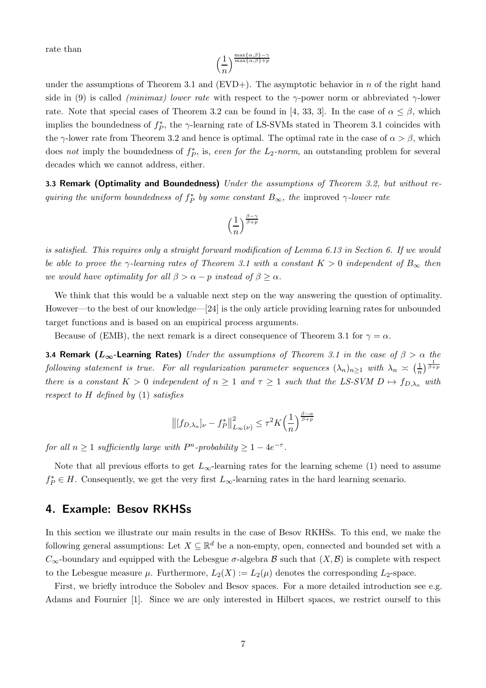rate than

$$
\left(\frac{1}{n}\right)^{\frac{\max\{\alpha,\beta\}-\gamma}{\max\{\alpha,\beta\}+p}}
$$

under the assumptions of Theorem [3.1](#page-4-3) and  $(EVD+)$ . The asymptotic behavior in n of the right hand side in [\(9\)](#page-5-3) is called *(minimax) lower rate* with respect to the  $\gamma$ -power norm or abbreviated  $\gamma$ -lower rate. Note that special cases of Theorem [3.2](#page-5-2) can be found in [\[4](#page-24-5), [33](#page-25-2), [3\]](#page-24-6). In the case of  $\alpha \leq \beta$ , which implies the boundedness of  $f_P^*$ , the  $\gamma$ -learning rate of LS-SVMs stated in Theorem [3.1](#page-4-3) coincides with the  $\gamma$ -lower rate from Theorem [3.2](#page-5-2) and hence is optimal. The optimal rate in the case of  $\alpha > \beta$ , which does not imply the boundedness of  $f_P^*$ , is, even for the  $L_2$ -norm, an outstanding problem for several decades which we cannot address, either.

3.3 Remark (Optimality and Boundedness) Under the assumptions of Theorem [3.2,](#page-5-2) but without requiring the uniform boundedness of  $f_P^*$  by some constant  $B_{\infty}$ , the improved  $\gamma$ -lower rate

$$
\Big(\frac{1}{n}\Big)^{\frac{\beta-\gamma}{\beta+p}}
$$

is satisfied. This requires only a straight forward modification of Lemma [6.13](#page-21-0) in Section [6.](#page-11-0) If we would be able to prove the  $\gamma$ -learning rates of Theorem [3.1](#page-4-3) with a constant  $K > 0$  independent of  $B_{\infty}$  then we would have optimality for all  $\beta > \alpha - p$  instead of  $\beta \geq \alpha$ .

We think that this would be a valuable next step on the way answering the question of optimality. However—to the best of our knowledge—[\[24](#page-25-11)] is the only article providing learning rates for unbounded target functions and is based on an empirical process arguments.

Because of [\(EMB\)](#page-4-0), the next remark is a direct consequence of Theorem [3.1](#page-4-3) for  $\gamma = \alpha$ .

3.4 Remark ( $L_{\infty}$ -Learning Rates) Under the assumptions of Theorem [3.1](#page-4-3) in the case of  $\beta > \alpha$  the following statement is true. For all regularization parameter sequences  $(\lambda_n)_{n\geq 1}$  with  $\lambda_n \asymp (\frac{1}{n}$  $\frac{1}{n}$ )  $\frac{1}{\beta+p}$ there is a constant  $K > 0$  independent of  $n \ge 1$  and  $\tau \ge 1$  such that the LS-SVM  $D \mapsto f_{D,\lambda_n}$  with respect to  $H$  defined by  $(1)$  satisfies

$$
\left\| [f_{D,\lambda_n}]_\nu - f_P^* \right\|_{L_\infty(\nu)}^2 \le \tau^2 K \left( \frac{1}{n} \right)^{\frac{\beta - \alpha}{\beta + p}}
$$

for all  $n \geq 1$  sufficiently large with  $P<sup>n</sup>$ -probability  $\geq 1 - 4e^{-\tau}$ .

Note that all previous efforts to get  $L_{\infty}$ -learning rates for the learning scheme [\(1\)](#page-0-0) need to assume  $f_P^* \in H$ . Consequently, we get the very first  $L_{\infty}$ -learning rates in the hard learning scenario.

### <span id="page-6-0"></span>4. Example: Besov RKHSs

In this section we illustrate our main results in the case of Besov RKHSs. To this end, we make the following general assumptions: Let  $X \subseteq \mathbb{R}^d$  be a non-empty, open, connected and bounded set with a  $C_{\infty}$ -boundary and equipped with the Lebesgue  $\sigma$ -algebra  $\beta$  such that  $(X,\beta)$  is complete with respect to the Lebesgue measure  $\mu$ . Furthermore,  $L_2(X) := L_2(\mu)$  denotes the corresponding  $L_2$ -space.

First, we briefly introduce the Sobolev and Besov spaces. For a more detailed introduction see e.g. Adams and Fournier [\[1\]](#page-24-15). Since we are only interested in Hilbert spaces, we restrict ourself to this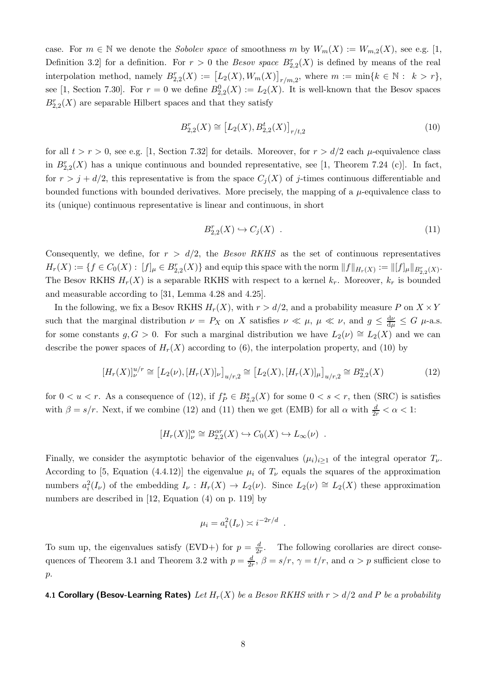case. For  $m \in \mathbb{N}$  we denote the Sobolev space of smoothness m by  $W_m(X) := W_{m,2}(X)$ , see e.g. [\[1,](#page-24-15) Definition 3.2 for a definition. For  $r > 0$  the *Besov space*  $B_{2,2}^r(X)$  is defined by means of the real interpolation method, namely  $B_{2,2}^r(X) := [L_2(X), W_m(X)]_{r/m,2}$ , where  $m := \min\{k \in \mathbb{N} : k > r\}$ , see [\[1](#page-24-15), Section 7.30]. For  $r = 0$  we define  $B_{2,2}^0(X) := L_2(X)$ . It is well-known that the Besov spaces  $B_{2,2}^r(X)$  are separable Hilbert spaces and that they satisfy

<span id="page-7-0"></span>
$$
B_{2,2}^{r}(X) \cong [L_2(X), B_{2,2}^{t}(X)]_{r/t,2}
$$
\n(10)

for all  $t > r > 0$ , see e.g. [\[1](#page-24-15), Section 7.32] for details. Moreover, for  $r > d/2$  each  $\mu$ -equivalence class in  $B_{2,2}^r(X)$  has a unique continuous and bounded representative, see [\[1](#page-24-15), Theorem 7.24 (c)]. In fact, for  $r > j + d/2$ , this representative is from the space  $C_i(X)$  of j-times continuous differentiable and bounded functions with bounded derivatives. More precisely, the mapping of a  $\mu$ -equivalence class to its (unique) continuous representative is linear and continuous, in short

<span id="page-7-2"></span>
$$
B_{2,2}^r(X) \hookrightarrow C_j(X) \tag{11}
$$

Consequently, we define, for  $r > d/2$ , the *Besov RKHS* as the set of continuous representatives  $H_r(X) := \{ f \in C_0(X) : [f]_\mu \in B_{2,2}^r(X) \}$  and equip this space with the norm  $||f||_{H_r(X)} := ||[f]_\mu||_{B_{2,2}^r(X)}$ . The Besov RKHS  $H_r(X)$  is a separable RKHS with respect to a kernel  $k_r$ . Moreover,  $k_r$  is bounded and measurable according to [\[31](#page-25-0), Lemma 4.28 and 4.25].

In the following, we fix a Besov RKHS  $H_r(X)$ , with  $r > d/2$ , and a probability measure P on  $X \times Y$ such that the marginal distribution  $\nu = P_X$  on X satisfies  $\nu \ll \mu$ ,  $\mu \ll \nu$ , and  $g \leq \frac{d\nu}{d\mu} \leq G$   $\mu$ -a.s. for some constants  $g, G > 0$ . For such a marginal distribution we have  $L_2(\nu) \cong L_2(X)$  and we can describe the power spaces of  $H_r(X)$  according to [\(6\)](#page-3-1), the interpolation property, and [\(10\)](#page-7-0) by

<span id="page-7-1"></span>
$$
[H_r(X)]_{\nu}^{u/r} \cong [L_2(\nu), [H_r(X)]_{\nu}]_{u/r,2} \cong [L_2(X), [H_r(X)]_{\mu}]_{u/r,2} \cong B_{2,2}^u(X)
$$
\n(12)

for  $0 < u < r$ . As a consequence of [\(12\)](#page-7-1), if  $f_P^* \in B_{2,2}^s(X)$  for some  $0 < s < r$ , then [\(SRC\)](#page-4-1) is satisfies with  $\beta = s/r$ . Next, if we combine [\(12\)](#page-7-1) and [\(11\)](#page-7-2) then we get [\(EMB\)](#page-4-0) for all  $\alpha$  with  $\frac{d}{2r} < \alpha < 1$ :

$$
[H_r(X)]_{\nu}^{\alpha} \cong B_{2,2}^{\alpha r}(X) \hookrightarrow C_0(X) \hookrightarrow L_{\infty}(\nu) .
$$

Finally, we consider the asymptotic behavior of the eigenvalues  $(\mu_i)_{i\geq 1}$  of the integral operator  $T_{\nu}$ . According to [\[5](#page-24-16), Equation (4.4.12)] the eigenvalue  $\mu_i$  of  $T_{\nu}$  equals the squares of the approximation numbers  $a_i^2(I_\nu)$  of the embedding  $I_\nu : H_r(X) \to L_2(\nu)$ . Since  $L_2(\nu) \cong L_2(X)$  these approximation numbers are described in [\[12,](#page-24-17) Equation (4) on p. 119] by

$$
\mu_i = a_i^2(I_\nu) \asymp i^{-2r/d} .
$$

To sum up, the eigenvalues satisfy [\(EVD+\)](#page-3-4) for  $p = \frac{d}{2r}$ . The following corollaries are direct conse-quences of Theorem [3.1](#page-4-3) and Theorem [3.2](#page-5-2) with  $p = \frac{d}{2r}$ ,  $\beta = s/r$ ,  $\gamma = t/r$ , and  $\alpha > p$  sufficient close to p.

<span id="page-7-3"></span>4.1 Corollary (Besov-Learning Rates) Let  $H_r(X)$  be a Besov RKHS with  $r > d/2$  and P be a probability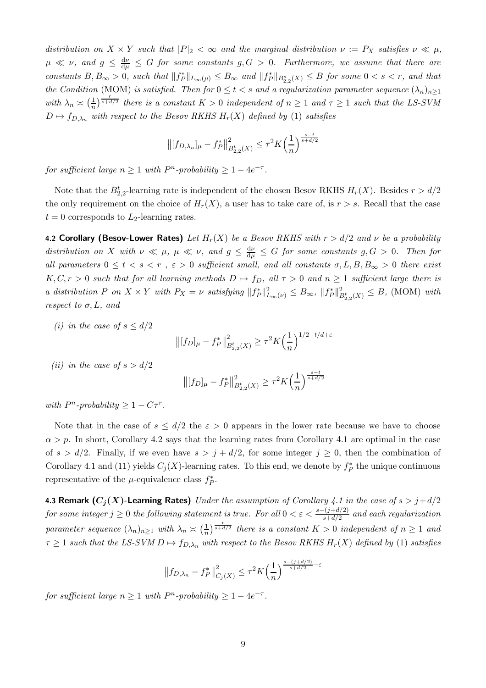distribution on  $X \times Y$  such that  $|P|_2 < \infty$  and the marginal distribution  $\nu := P_X$  satisfies  $\nu \ll \mu$ ,  $\mu \ll \nu$ , and  $g \leq \frac{d\nu}{d\mu} \leq G$  for some constants  $g,G>0$ . Furthermore, we assume that there are constants  $B, B_{\infty} > 0$ , such that  $||f_P^*||_{L_{\infty}(\mu)} \leq B_{\infty}$  and  $||f_P^*||_{B_{2,2}^s(X)} \leq B$  for some  $0 < s < r$ , and that the Condition [\(MOM\)](#page-4-2) is satisfied. Then for  $0 \le t < s$  and a regularization parameter sequence  $(\lambda_n)_{n\ge1}$ with  $\lambda_n \asymp \left(\frac{1}{n}\right)$  $\frac{1}{n}$ )  $\frac{r}{s+d/2}$  there is a constant  $K > 0$  independent of  $n \geq 1$  and  $\tau \geq 1$  such that the LS-SVM  $D \mapsto f_{D,\lambda_n}$  with respect to the Besov RKHS  $H_r(X)$  defined by [\(1\)](#page-0-0) satisfies

$$
\left\| [f_{D,\lambda_n}]_\mu - f_P^* \right\|_{B_{2,2}^t(X)}^2 \le \tau^2 K \left( \frac{1}{n} \right)^{\frac{s-t}{s+d/2}}
$$

for sufficient large  $n \geq 1$  with  $P<sup>n</sup>$ -probability  $\geq 1 - 4e^{-\tau}$ .

Note that the  $B_{2,2}^t$ -learning rate is independent of the chosen Besov RKHS  $H_r(X)$ . Besides  $r > d/2$ the only requirement on the choice of  $H_r(X)$ , a user has to take care of, is  $r > s$ . Recall that the case  $t = 0$  corresponds to  $L_2$ -learning rates.

<span id="page-8-0"></span>4.2 Corollary (Besov-Lower Rates) Let  $H_r(X)$  be a Besov RKHS with  $r > d/2$  and  $\nu$  be a probability distribution on X with  $\nu \ll \mu$ ,  $\mu \ll \nu$ , and  $g \leq \frac{d\nu}{d\mu} \leq G$  for some constants  $g, G > 0$ . Then for all parameters  $0 \leq t < s < r$ ,  $\varepsilon > 0$  sufficient small, and all constants  $\sigma, L, B, B_{\infty} > 0$  there exist  $K, C, r > 0$  such that for all learning methods  $D \mapsto f_D$ , all  $\tau > 0$  and  $n \ge 1$  sufficient large there is a distribution P on  $X \times Y$  with  $P_X = \nu$  satisfying  $||f_P^*||_{L_\infty(\nu)}^2 \leq B_\infty$ ,  $||f_P^*||_{B_{2,2}^4(X)}^2 \leq B$ , [\(MOM\)](#page-4-2) with respect to  $\sigma$ , L, and

(i) in the case of  $s \leq d/2$ 

$$
\left\| [f_D]_{\mu} - f_P^* \right\|_{B_{2,2}^t(X)}^2 \ge \tau^2 K \left( \frac{1}{n} \right)^{1/2 - t/d + \varepsilon}
$$

(*ii*) in the case of  $s > d/2$ 

$$
\left\| [f_D]_{\mu} - f_P^* \right\|_{B_{2,2}^t(X)}^2 \ge \tau^2 K\left(\frac{1}{n}\right)^{\frac{s-t}{s+d/2}}
$$

with  $P^n$ -probability  $\geq 1 - C\tau^r$ .

Note that in the case of  $s \leq d/2$  the  $\varepsilon > 0$  appears in the lower rate because we have to choose  $\alpha > p$ . In short, Corollary [4.2](#page-8-0) says that the learning rates from Corollary [4.1](#page-7-3) are optimal in the case of  $s > d/2$ . Finally, if we even have  $s > j + d/2$ , for some integer  $j \geq 0$ , then the combination of Corollary [4.1](#page-7-3) and [\(11\)](#page-7-2) yields  $C_j(X)$ -learning rates. To this end, we denote by  $f_P^*$  the unique continuous representative of the  $\mu$ -equivalence class  $f_P^*$ .

4.3 Remark  $(C_i(X)$ -Learning Rates) Under the assumption of Corollary [4.1](#page-7-3) in the case of  $s > j + d/2$ for some integer  $j \geq 0$  the following statement is true. For all  $0 < \varepsilon < \frac{s-(j+d/2)}{s+d/2}$  and each regularization parameter sequence  $(\lambda_n)_{n\geq 1}$  with  $\lambda_n \geq (\frac{1}{n})$  $\frac{1}{n}$ )  $\frac{r}{s+d/2}$  there is a constant  $K > 0$  independent of  $n \ge 1$  and  $\tau \geq 1$  such that the LS-SVM  $D \mapsto f_{D,\lambda_n}$  with respect to the Besov RKHS  $H_r(X)$  defined by [\(1\)](#page-0-0) satisfies

$$
||f_{D,\lambda_n} - f_P^*||_{C_j(X)}^2 \le \tau^2 K\left(\frac{1}{n}\right)^{\frac{s - (j + d/2)}{s + d/2} - \varepsilon}
$$

for sufficient large  $n \geq 1$  with  $P<sup>n</sup>$ -probability  $\geq 1 - 4e^{-\tau}$ .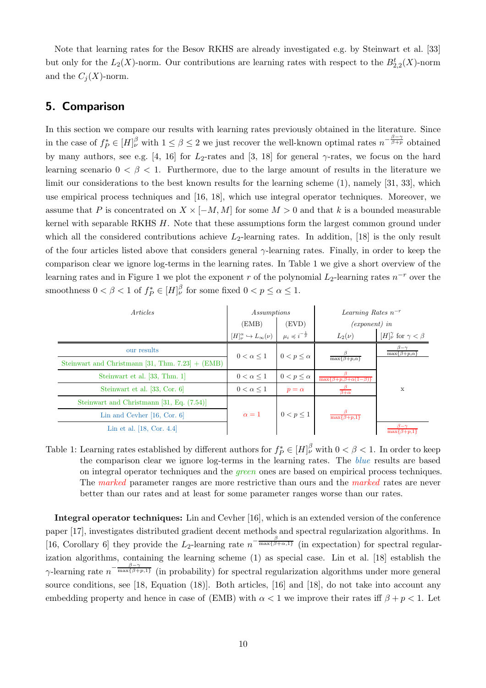Note that learning rates for the Besov RKHS are already investigated e.g. by Steinwart et al. [\[33](#page-25-2)] but only for the  $L_2(X)$ -norm. Our contributions are learning rates with respect to the  $B_{2,2}^t(X)$ -norm and the  $C_i(X)$ -norm.

## <span id="page-9-0"></span>5. Comparison

In this section we compare our results with learning rates previously obtained in the literature. Since in the case of  $f_P^* \in [H]_{\nu}^{\beta}$  with  $1 \leq \beta \leq 2$  we just recover the well-known optimal rates  $n^{-\frac{\beta-\gamma}{\beta+p}}$  obtained by many authors, see e.g. [\[4](#page-24-5), [16](#page-24-9)] for L<sub>2</sub>-rates and [\[3](#page-24-6), [18\]](#page-24-8) for general  $\gamma$ -rates, we focus on the hard learning scenario  $0 < \beta < 1$ . Furthermore, due to the large amount of results in the literature we limit our considerations to the best known results for the learning scheme [\(1\)](#page-0-0), namely [\[31](#page-25-0), [33](#page-25-2)], which use empirical process techniques and [\[16](#page-24-9), [18](#page-24-8)], which use integral operator techniques. Moreover, we assume that P is concentrated on  $X \times [-M, M]$  for some  $M > 0$  and that k is a bounded measurable kernel with separable RKHS H. Note that these assumptions form the largest common ground under which all the considered contributions achieve  $L_2$ -learning rates. In addition, [\[18\]](#page-24-8) is the only result of the four articles listed above that considers general γ-learning rates. Finally, in order to keep the comparison clear we ignore log-terms in the learning rates. In Table [1](#page-9-1) we give a short overview of the learning rates and in Figure [1](#page-10-0) we plot the exponent r of the polynomial  $L_2$ -learning rates  $n^{-r}$  over the smoothness  $0 < \beta < 1$  of  $f_P^* \in [H]_{\nu}^{\beta}$  for some fixed  $0 < p \le \alpha \le 1$ .

| Articles                                            | Assumptions                                          |                                       | Learning Rates $n^{-r}$                  |                                           |
|-----------------------------------------------------|------------------------------------------------------|---------------------------------------|------------------------------------------|-------------------------------------------|
|                                                     | (EMB)                                                | (EVD)                                 | $(exponent)$ in                          |                                           |
|                                                     | $[H]_{\nu}^{\alpha} \hookrightarrow L_{\infty}(\nu)$ | $\mu_i \preccurlyeq i^{-\frac{1}{p}}$ | $L_2(\nu)$                               | $[H]_{\nu}^{\gamma}$ for $\gamma < \beta$ |
| our results                                         | $0 < \alpha \leq 1$                                  | $0 < p < \alpha$                      | $\max\{\beta+p,\alpha\}$                 | $\max\{\beta+p,\alpha\}$                  |
| Steinwart and Christmann [31, Thm. $7.23$ ] + (EMB) |                                                      |                                       |                                          |                                           |
| Steinwart et al. [33, Thm. 1]                       | $0 < \alpha \leq 1$                                  | $0 < p \leq \alpha$                   | $\max\{\beta+p,\beta+\alpha(1-\beta)\}\$ |                                           |
| Steinwart et al. [33, Cor. 6]                       | $0 < \alpha \leq 1$                                  | $p = \alpha$                          | $\beta+\alpha$                           | X                                         |
| Steinwart and Christmann [31, Eq. (7.54)]           |                                                      |                                       |                                          |                                           |
| Lin and Cevher $[16, Cor. 6]$                       | $\alpha = 1$                                         | $0 < p \leq 1$                        | $\max\{\beta+p,1\}$                      |                                           |
| Lin et al. $[18, Cor. 4.4]$                         |                                                      |                                       |                                          | $\max$ $6$                                |

<span id="page-9-1"></span>Table 1: Learning rates established by different authors for  $f_P^* \in [H]_{\nu}^{\beta}$  with  $0 < \beta < 1$ . In order to keep the comparison clear we ignore log-terms in the learning rates. The blue results are based on integral operator techniques and the green ones are based on empirical process techniques. The *marked* parameter ranges are more restrictive than ours and the *marked* rates are never better than our rates and at least for some parameter ranges worse than our rates.

Integral operator techniques: Lin and Cevher [\[16\]](#page-24-9), which is an extended version of the conference paper [\[17\]](#page-24-11), investigates distributed gradient decent methods and spectral regularization algorithms. In [\[16,](#page-24-9) Corollary 6] they provide the L<sub>2</sub>-learning rate  $n^{-\frac{\beta}{\max{\{\beta+\alpha,1\}}}}$  (in expectation) for spectral regularization algorithms, containing the learning scheme [\(1\)](#page-0-0) as special case. Lin et al. [\[18\]](#page-24-8) establish the  $\gamma$ -learning rate  $n^{-\frac{\beta-\gamma}{\max{\{\beta+p,1\}}}}$  (in probability) for spectral regularization algorithms under more general source conditions, see [\[18](#page-24-8), Equation (18)]. Both articles, [\[16\]](#page-24-9) and [\[18\]](#page-24-8), do not take into account any embedding property and hence in case of [\(EMB\)](#page-4-0) with  $\alpha < 1$  we improve their rates iff  $\beta + p < 1$ . Let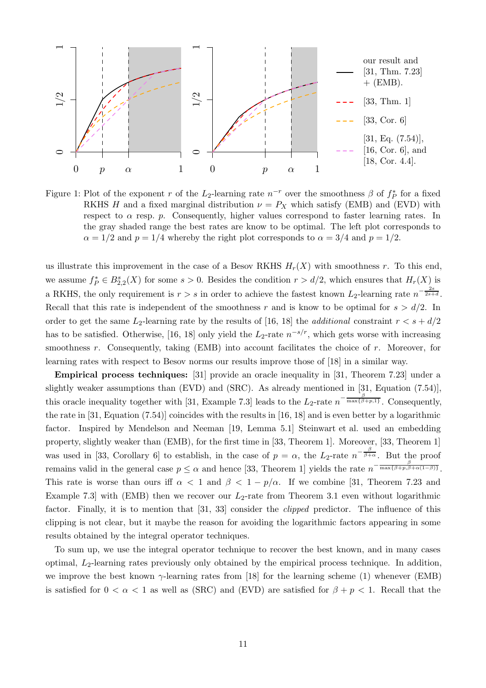

<span id="page-10-0"></span>Figure 1: Plot of the exponent r of the L<sub>2</sub>-learning rate  $n^{-r}$  over the smoothness  $\beta$  of  $f_P^*$  for a fixed RKHS H and a fixed marginal distribution  $\nu = P_X$  which satisfy [\(EMB\)](#page-4-0) and [\(EVD\)](#page-3-3) with respect to  $\alpha$  resp. p. Consequently, higher values correspond to faster learning rates. In the gray shaded range the best rates are know to be optimal. The left plot corresponds to  $\alpha = 1/2$  and  $p = 1/4$  whereby the right plot corresponds to  $\alpha = 3/4$  and  $p = 1/2$ .

us illustrate this improvement in the case of a Besov RKHS  $H_r(X)$  with smoothness r. To this end, we assume  $f_P^* \in B_{2,2}^s(X)$  for some  $s > 0$ . Besides the condition  $r > d/2$ , which ensures that  $H_r(X)$  is a RKHS, the only requirement is  $r > s$  in order to achieve the fastest known  $L_2$ -learning rate  $n^{-\frac{2s}{2s+d}}$ . Recall that this rate is independent of the smoothness r and is know to be optimal for  $s > d/2$ . In order to get the same L<sub>2</sub>-learning rate by the results of [\[16,](#page-24-9) [18\]](#page-24-8) the *additional* constraint  $r < s + d/2$ has to be satisfied. Otherwise, [\[16,](#page-24-9) [18](#page-24-8)] only yield the  $L_2$ -rate  $n^{-s/r}$ , which gets worse with increasing smoothness r. Consequently, taking  $(EMB)$  into account facilitates the choice of r. Moreover, for learning rates with respect to Besov norms our results improve those of [\[18\]](#page-24-8) in a similar way.

Empirical process techniques: [\[31\]](#page-25-0) provide an oracle inequality in [\[31](#page-25-0), Theorem 7.23] under a slightly weaker assumptions than [\(EVD\)](#page-3-3) and [\(SRC\)](#page-4-1). As already mentioned in [\[31](#page-25-0), Equation (7.54)], this oracle inequality together with [\[31](#page-25-0), Example 7.3] leads to the  $L_2$ -rate  $n^{-\frac{\beta}{\max{\{\beta+p,1\}}}}$ . Consequently, the rate in [\[31](#page-25-0), Equation (7.54)] coincides with the results in [\[16](#page-24-9), [18\]](#page-24-8) and is even better by a logarithmic factor. Inspired by Mendelson and Neeman [\[19](#page-24-10), Lemma 5.1] [Steinwart et al.](#page-25-2) used an embedding property, slightly weaker than [\(EMB\)](#page-4-0), for the first time in [\[33,](#page-25-2) Theorem 1]. Moreover, [\[33](#page-25-2), Theorem 1] was used in [\[33](#page-25-2), Corollary 6] to establish, in the case of  $p = \alpha$ , the  $L_2$ -rate  $n^{-\frac{\beta}{\beta+\alpha}}$ . But the proof remains valid in the general case  $p \leq \alpha$  and hence [\[33,](#page-25-2) Theorem 1] yields the rate  $n^{-\frac{\beta}{\max{\{\beta+p,\beta+\alpha(1-\beta)\}}}}$ . This rate is worse than ours iff  $\alpha < 1$  and  $\beta < 1 - p/\alpha$ . If we combine [\[31](#page-25-0), Theorem 7.23 and Example 7.3 with [\(EMB\)](#page-4-0) then we recover our  $L_2$ -rate from Theorem [3.1](#page-4-3) even without logarithmic factor. Finally, it is to mention that [\[31,](#page-25-0) [33\]](#page-25-2) consider the clipped predictor. The influence of this clipping is not clear, but it maybe the reason for avoiding the logarithmic factors appearing in some results obtained by the integral operator techniques.

To sum up, we use the integral operator technique to recover the best known, and in many cases optimal, L2-learning rates previously only obtained by the empirical process technique. In addition, we improve the best known  $\gamma$ -learning rates from [\[18](#page-24-8)] for the learning scheme [\(1\)](#page-0-0) whenever [\(EMB\)](#page-4-0) is satisfied for  $0 < \alpha < 1$  as well as [\(SRC\)](#page-4-1) and [\(EVD\)](#page-3-3) are satisfied for  $\beta + p < 1$ . Recall that the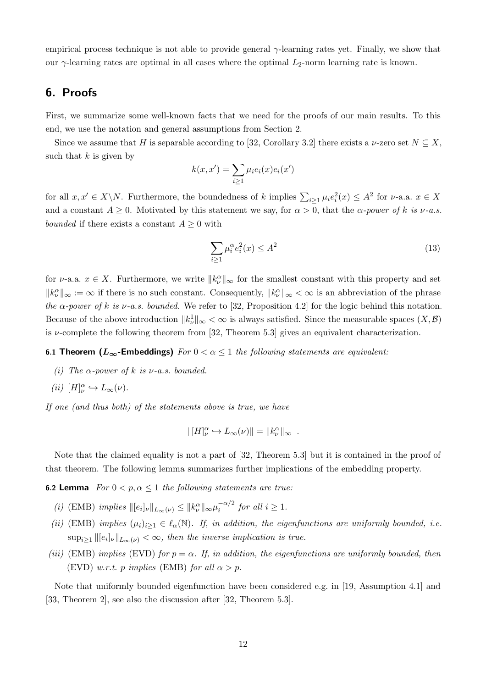empirical process technique is not able to provide general  $\gamma$ -learning rates yet. Finally, we show that our  $\gamma$ -learning rates are optimal in all cases where the optimal  $L_2$ -norm learning rate is known.

# <span id="page-11-0"></span>6. Proofs

First, we summarize some well-known facts that we need for the proofs of our main results. To this end, we use the notation and general assumptions from Section [2.](#page-2-0)

Since we assume that H is separable according to [\[32,](#page-25-9) Corollary 3.2] there exists a  $\nu$ -zero set  $N \subseteq X$ , such that  $k$  is given by

$$
k(x, x') = \sum_{i \ge 1} \mu_i e_i(x) e_i(x')
$$

for all  $x, x' \in X \backslash N$ . Furthermore, the boundedness of k implies  $\sum_{i\geq 1} \mu_i e_i^2(x) \leq A^2$  for  $\nu$ -a.a.  $x \in X$ and a constant  $A \geq 0$ . Motivated by this statement we say, for  $\alpha > 0$ , that the  $\alpha$ -power of k is v-a.s. *bounded* if there exists a constant  $A \geq 0$  with

<span id="page-11-5"></span>
$$
\sum_{i\geq 1} \mu_i^{\alpha} e_i^2(x) \leq A^2 \tag{13}
$$

for  $\nu$ -a.a.  $x \in X$ . Furthermore, we write  $||k_{\nu}^{\alpha}||_{\infty}$  for the smallest constant with this property and set  $||k_{\nu}^{\alpha}||_{\infty} := \infty$  if there is no such constant. Consequently,  $||k_{\nu}^{\alpha}||_{\infty} < \infty$  is an abbreviation of the phrase the  $\alpha$ -power of k is v-a.s. bounded. We refer to [\[32,](#page-25-9) Proposition 4.2] for the logic behind this notation. Because of the above introduction  $||k_{\nu}^{1}||_{\infty} < \infty$  is always satisfied. Since the measurable spaces  $(X, \mathcal{B})$ is  $\nu$ -complete the following theorem from [\[32](#page-25-9), Theorem 5.3] gives an equivalent characterization.

#### <span id="page-11-6"></span>6.1 Theorem ( $L_{\infty}$ -Embeddings) For  $0 < \alpha \leq 1$  the following statements are equivalent:

(i) The  $\alpha$ -power of k is  $\nu$ -a.s. bounded.

$$
(ii) \ [H]_{\nu}^{\alpha} \hookrightarrow L_{\infty}(\nu).
$$

If one (and thus both) of the statements above is true, we have

$$
\| [H]_{\nu}^{\alpha} \hookrightarrow L_{\infty}(\nu) \| = \| k_{\nu}^{\alpha} \|_{\infty} .
$$

Note that the claimed equality is not a part of [\[32](#page-25-9), Theorem 5.3] but it is contained in the proof of that theorem. The following lemma summarizes further implications of the embedding property.

<span id="page-11-3"></span><span id="page-11-1"></span>**6.2 Lemma**  $For\ 0 < p, \alpha < 1$  the following statements are true:

- <span id="page-11-4"></span>(i) [\(EMB\)](#page-4-0) implies  $\|[e_i]_\nu\|_{L_\infty(\nu)} \leq \|k_\nu^\alpha\|_\infty \mu_i^{-\alpha/2}$  for all  $i \geq 1$ .
- (ii) [\(EMB\)](#page-4-0) implies  $(\mu_i)_{i\geq 1} \in \ell_\alpha(\mathbb{N})$ . If, in addition, the eigenfunctions are uniformly bounded, i.e.  $\sup_{i\geq 1} ||[e_i]_{\nu}||_{L_{\infty}(\nu)} < \infty$ , then the inverse implication is true.
- <span id="page-11-2"></span>(iii) [\(EMB\)](#page-4-0) implies [\(EVD\)](#page-3-3) for  $p = \alpha$ . If, in addition, the eigenfunctions are uniformly bounded, then [\(EVD\)](#page-3-3) w.r.t. p implies [\(EMB\)](#page-4-0) for all  $\alpha > p$ .

Note that uniformly bounded eigenfunction have been considered e.g. in [\[19,](#page-24-10) Assumption 4.1] and [\[33,](#page-25-2) Theorem 2], see also the discussion after [\[32,](#page-25-9) Theorem 5.3].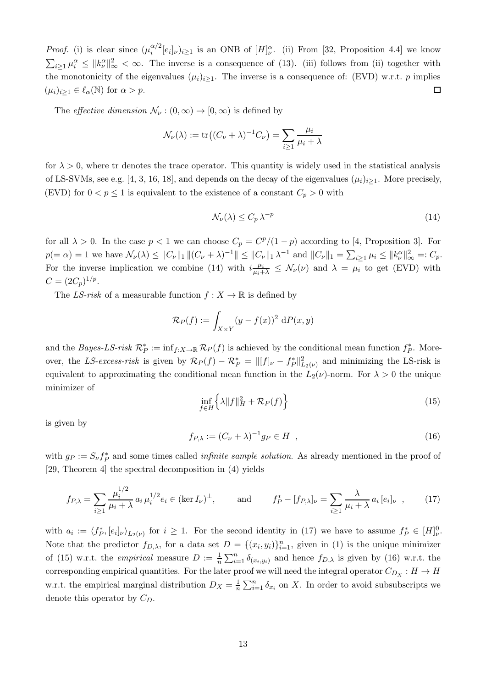*Proof.* [\(i\)](#page-11-3) is clear since  $(\mu_i^{\alpha/2})$  $i^{(\alpha/2)}[e_i]_{\nu}$ )<sub>i</sub> is an ONB of  $[H]_{\nu}^{\alpha}$ . [\(ii\)](#page-11-4) From [\[32](#page-25-9), Proposition 4.4] we know  $\sum_{i\geq 1}\mu_i^{\alpha} \leq ||k_{\nu}^{\alpha}||_{\infty}^2 < \infty$ . The inverse is a consequence of [\(13\)](#page-11-5). [\(iii\)](#page-11-2) follows from [\(ii\)](#page-11-4) together with the monotonicity of the eigenvalues  $(\mu_i)_{i\geq 1}$ . The inverse is a consequence of: [\(EVD\)](#page-3-3) w.r.t. p implies  $\Box$  $(\mu_i)_{i\geq 1} \in \ell_\alpha(\mathbb{N})$  for  $\alpha > p$ .

The *effective dimension*  $\mathcal{N}_{\nu} : (0, \infty) \to [0, \infty)$  is defined by

$$
\mathcal{N}_{\nu}(\lambda) := \text{tr}\big((C_{\nu} + \lambda)^{-1}C_{\nu}\big) = \sum_{i \ge 1} \frac{\mu_i}{\mu_i + \lambda}
$$

for  $\lambda > 0$ , where tr denotes the trace operator. This quantity is widely used in the statistical analysis of LS-SVMs, see e.g. [\[4](#page-24-5), [3,](#page-24-6) [16](#page-24-9), [18\]](#page-24-8), and depends on the decay of the eigenvalues  $(\mu_i)_{i>1}$ . More precisely, [\(EVD\)](#page-3-3) for  $0 < p \le 1$  is equivalent to the existence of a constant  $C_p > 0$  with

<span id="page-12-0"></span>
$$
\mathcal{N}_{\nu}(\lambda) \le C_p \lambda^{-p} \tag{14}
$$

for all  $\lambda > 0$ . In the case  $p < 1$  we can choose  $C_p = C^p/(1-p)$  according to [\[4](#page-24-5), Proposition 3]. For  $p(=\alpha) = 1$  we have  $\mathcal{N}_{\nu}(\lambda) \leq ||C_{\nu}||_1 ||(C_{\nu} + \lambda)^{-1}|| \leq ||C_{\nu}||_1 \lambda^{-1}$  and  $||C_{\nu}||_1 = \sum_{i \geq 1} \mu_i \leq ||k_{\nu}^{\alpha}||_{\infty}^2 =: C_p$ . For the inverse implication we combine [\(14\)](#page-12-0) with  $i\frac{\mu_i}{\mu_i+\lambda} \leq \mathcal{N}_{\nu}(\nu)$  and  $\lambda = \mu_i$  to get [\(EVD\)](#page-3-3) with  $C = (2C_p)^{1/p}.$ 

The LS-risk of a measurable function  $f: X \to \mathbb{R}$  is defined by

$$
\mathcal{R}_P(f) := \int_{X \times Y} (y - f(x))^2 \, dP(x, y)
$$

and the *Bayes-LS-risk*  $\mathcal{R}_P^* := \inf_{f:X\to\mathbb{R}} \mathcal{R}_P(f)$  is achieved by the conditional mean function  $f_P^*$ . Moreover, the LS-excess-risk is given by  $\mathcal{R}_P(f) - \mathcal{R}_P^* = ||[f]_\nu - f_P^*||^2_{L_2(\nu)}$  and minimizing the LS-risk is equivalent to approximating the conditional mean function in the  $L_2(\nu)$ -norm. For  $\lambda > 0$  the unique minimizer of

<span id="page-12-2"></span>
$$
\inf_{f \in H} \left\{ \lambda \|f\|_{H}^{2} + \mathcal{R}_{P}(f) \right\} \tag{15}
$$

is given by

<span id="page-12-3"></span>
$$
f_{P,\lambda} := (C_{\nu} + \lambda)^{-1} g_P \in H \quad , \tag{16}
$$

with  $g_P := S_\nu f_P^*$  and some times called *infinite sample solution*. As already mentioned in the proof of [\[29,](#page-25-8) Theorem 4] the spectral decomposition in [\(4\)](#page-2-1) yields

<span id="page-12-1"></span>
$$
f_{P,\lambda} = \sum_{i \ge 1} \frac{\mu_i^{1/2}}{\mu_i + \lambda} a_i \mu_i^{1/2} e_i \in (\ker I_\nu)^\perp, \quad \text{and} \quad f_P^* - [f_{P,\lambda}]_\nu = \sum_{i \ge 1} \frac{\lambda}{\mu_i + \lambda} a_i [e_i]_\nu , \quad (17)
$$

with  $a_i := \langle f_P^*, [e_i]_\nu \rangle_{L_2(\nu)}$  for  $i \geq 1$ . For the second identity in [\(17\)](#page-12-1) we have to assume  $f_P^* \in [H]_{\nu}^0$ . Note that the predictor  $f_{D,\lambda}$ , for a data set  $D = \{(x_i, y_i)\}_{i=1}^n$ , given in [\(1\)](#page-0-0) is the unique minimizer of [\(15\)](#page-12-2) w.r.t. the *empirical* measure  $D := \frac{1}{n} \sum_{i=1}^{n} \delta_{(x_i, y_i)}$  and hence  $f_{D,\lambda}$  is given by [\(16\)](#page-12-3) w.r.t. the corresponding empirical quantities. For the later proof we will need the integral operator  $C_{D_X}: H \to H$ w.r.t. the empirical marginal distribution  $D_X = \frac{1}{n}$  $\frac{1}{n} \sum_{i=1}^{n} \delta_{x_i}$  on X. In order to avoid subsubscripts we denote this operator by  $C_D$ .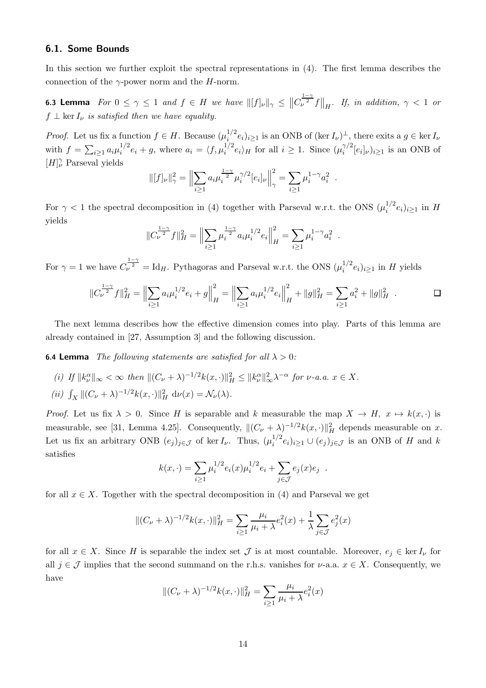#### 6.1. Some Bounds

In this section we further exploit the spectral representations in [\(4\)](#page-2-1). The first lemma describes the connection of the  $\gamma$ -power norm and the H-norm.

<span id="page-13-3"></span>**6.3 Lemma** For  $0 \leq \gamma \leq 1$  and  $f \in H$  we have  $||[f]_{\nu}||_{\gamma} \leq ||C_{\nu}^{\frac{1-\gamma}{2}}f||_{H}$ . If, in addition,  $\gamma < 1$  or  $f \perp \ker I_{\nu}$  is satisfied then we have equality.

*Proof.* Let us fix a function  $f \in H$ . Because  $(\mu_i^{1/2})$  $i^{1/2}$   $e_i)_{i\geq 1}$  is an ONB of  $(\ker I_{\nu})^{\perp}$ , there exits a  $g \in \ker I_{\nu}$ with  $f = \sum_{i \geq 1} a_i \mu_i^{1/2}$  $i^{1/2}e_i + g$ , where  $a_i = \langle f, \mu_i^{1/2}e_i \rangle_H$  for all  $i \geq 1$ . Since  $(\mu_i^{\gamma/2})$  $i^{\gamma/2}[e_i]_{\nu}$ ) $i \geq 1$  is an ONB of  $[H]_{\nu}^{\gamma}$  Parseval yields

$$
\| [f]_{\nu} \|_{\gamma}^{2} = \left\| \sum_{i \ge 1} a_{i} \mu_{i}^{\frac{1 - \gamma}{2}} \mu_{i}^{\gamma/2} [e_{i}]_{\nu} \right\|_{\gamma}^{2} = \sum_{i \ge 1} \mu_{i}^{1 - \gamma} a_{i}^{2}
$$

For  $\gamma$  < 1 the spectral decomposition in [\(4\)](#page-2-1) together with Parseval w.r.t. the ONS  $(\mu_i^{1/2})$  $i^{1/2}e_i)_{i\geq 1}$  in H yields

$$
||C_{\nu}^{\frac{1-\gamma}{2}}f||_H^2 = \Big\|\sum_{i\geq 1} \mu_i^{\frac{1-\gamma}{2}}a_i\mu_i^{1/2}e_i\Big\|_H^2 = \sum_{i\geq 1} \mu_i^{1-\gamma}a_i^2.
$$

For  $\gamma = 1$  we have  $C_{\nu}^{\frac{1-\gamma}{2}} = \text{Id}_H$ . Pythagoras and Parseval w.r.t. the ONS  $(\mu_i^{1/2})$  $i^{1/2}e_i)_{i\geq 1}$  in H yields

$$
||C_{\nu}^{\frac{1-\gamma}{2}}f||_H^2 = \left\|\sum_{i\geq 1} a_i \mu_i^{1/2} e_i + g\right\|_H^2 = \left\|\sum_{i\geq 1} a_i \mu_i^{1/2} e_i\right\|_H^2 + ||g||_H^2 = \sum_{i\geq 1} a_i^2 + ||g||_H^2.
$$

.

The next lemma describes how the effective dimension comes into play. Parts of this lemma are already contained in [\[27](#page-25-12), Assumption 3] and the following discussion.

<span id="page-13-2"></span><span id="page-13-0"></span>**6.4 Lemma** The following statements are satisfied for all  $\lambda > 0$ :

- <span id="page-13-1"></span>(i) If  $||k_{\nu}^{\alpha}||_{\infty} < \infty$  then  $||(C_{\nu} + \lambda)^{-1/2}k(x, \cdot)||_{H}^{2} \leq ||k_{\nu}^{\alpha}||_{\infty}^{2} \lambda^{-\alpha}$  for  $\nu$ -a.a.  $x \in X$ .
- (*ii*)  $\int_X ||(C_\nu + \lambda)^{-1/2} k(x, \cdot)||_H^2 d\nu(x) = \mathcal{N}_\nu(\lambda).$

*Proof.* Let us fix  $\lambda > 0$ . Since H is separable and k measurable the map  $X \to H$ ,  $x \mapsto k(x, \cdot)$  is measurable, see [\[31](#page-25-0), Lemma 4.25]. Consequently,  $||(C_{\nu} + \lambda)^{-1/2}k(x, \cdot)||_H^2$  depends measurable on x. Let us fix an arbitrary ONB  $(e_j)_{j \in \mathcal{J}}$  of ker  $I_{\nu}$ . Thus,  $(\mu_i^{1/2})$  $i^{1/2}e_i)_{i\geq 1}\cup (e_j)_{j\in\mathcal{J}}$  is an ONB of H and k satisfies

$$
k(x,\cdot) = \sum_{i\geq 1} \mu_i^{1/2} e_i(x) \mu_i^{1/2} e_i + \sum_{j\in\mathcal{J}} e_j(x) e_j .
$$

for all  $x \in X$ . Together with the spectral decomposition in [\(4\)](#page-2-1) and Parseval we get

$$
\|(C_{\nu} + \lambda)^{-1/2}k(x, \cdot)\|_{H}^{2} = \sum_{i \geq 1} \frac{\mu_{i}}{\mu_{i} + \lambda} e_{i}^{2}(x) + \frac{1}{\lambda} \sum_{j \in \mathcal{J}} e_{j}^{2}(x)
$$

for all  $x \in X$ . Since H is separable the index set  $\mathcal J$  is at most countable. Moreover,  $e_i \in \ker I_\nu$  for all  $j \in \mathcal{J}$  implies that the second summand on the r.h.s. vanishes for  $\nu$ -a.a.  $x \in X$ . Consequently, we have

$$
\|(C_{\nu} + \lambda)^{-1/2}k(x, \cdot)\|_{H}^{2} = \sum_{i \ge 1} \frac{\mu_{i}}{\mu_{i} + \lambda} e_{i}^{2}(x)
$$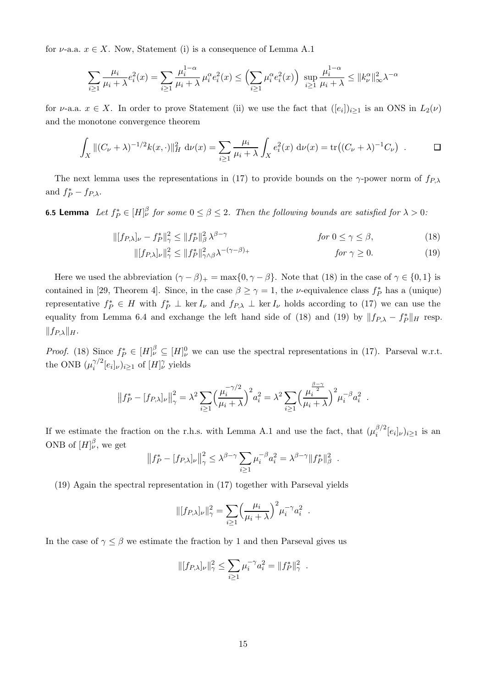for  $\nu$ -a.a.  $x \in X$ . Now, Statement [\(i\)](#page-13-0) is a consequence of Lemma [A.1](#page-23-0)

$$
\sum_{i\geq 1} \frac{\mu_i}{\mu_i + \lambda} e_i^2(x) = \sum_{i\geq 1} \frac{\mu_i^{1-\alpha}}{\mu_i + \lambda} \mu_i^{\alpha} e_i^2(x) \leq \left(\sum_{i\geq 1} \mu_i^{\alpha} e_i^2(x)\right) \sup_{i\geq 1} \frac{\mu_i^{1-\alpha}}{\mu_i + \lambda} \leq \|k_{\nu}^{\alpha}\|_{\infty}^2 \lambda^{-\alpha}
$$

for  $\nu$ -a.a.  $x \in X$ . In order to prove Statement [\(ii\)](#page-13-1) we use the fact that  $([e_i])_{i\geq 1}$  is an ONS in  $L_2(\nu)$ and the monotone convergence theorem

$$
\int_X \|(C_\nu + \lambda)^{-1/2} k(x, \cdot)\|_H^2 d\nu(x) = \sum_{i \ge 1} \frac{\mu_i}{\mu_i + \lambda} \int_X e_i^2(x) d\nu(x) = \text{tr}\left((C_\nu + \lambda)^{-1} C_\nu\right) . \qquad \Box
$$

The next lemma uses the representations in [\(17\)](#page-12-1) to provide bounds on the  $\gamma$ -power norm of  $f_{P,\lambda}$ and  $f_P^* - f_{P,\lambda}$ .

<span id="page-14-2"></span>**6.5 Lemma** Let  $f_P^* \in [H]_V^{\beta}$  for some  $0 \le \beta \le 2$ . Then the following bounds are satisfied for  $\lambda > 0$ :

$$
\| [f_{P,\lambda}]_{\nu} - f_P^* \|_{\gamma}^2 \le \| f_P^* \|_{\beta}^2 \lambda^{\beta - \gamma} \qquad \text{for } 0 \le \gamma \le \beta,
$$
 (18)

$$
\| [f_{P,\lambda}]_{\nu} \|_{\gamma}^2 \le \| f_P^* \|_{\gamma \wedge \beta}^2 \lambda^{-(\gamma - \beta)_+} \qquad \qquad \text{for } \gamma \ge 0. \tag{19}
$$

Here we used the abbreviation  $(\gamma - \beta)_+ = \max\{0, \gamma - \beta\}$ . Note that [\(18\)](#page-14-0) in the case of  $\gamma \in \{0, 1\}$  is contained in [\[29](#page-25-8), Theorem 4]. Since, in the case  $\beta \ge \gamma = 1$ , the *v*-equivalence class  $f_P^*$  has a (unique) representative  $f_P^* \in H$  with  $f_P^* \perp \ker I_{\nu}$  and  $f_{P,\lambda} \perp \ker I_{\nu}$  holds according to [\(17\)](#page-12-1) we can use the equality from Lemma [6.4](#page-13-2) and exchange the left hand side of [\(18\)](#page-14-0) and [\(19\)](#page-14-1) by  $|| f_{P,\lambda} - f_P^* ||_H$  resp.  $||f_{P,\lambda}||_H.$ 

*Proof.* [\(18\)](#page-14-0) Since  $f_P^* \in [H]_{\nu}^{\beta} \subseteq [H]_{\nu}^0$  we can use the spectral representations in [\(17\)](#page-12-1). Parseval w.r.t. the ONB  $(\mu_i^{\gamma/2})$  $i^{\gamma/2}[e_i]_{\nu})_{i\geq 1}$  of  $[H]^{\gamma}_{\nu}$  yields

$$
||f_P^* - [f_{P,\lambda}]_{\nu}||_{\gamma}^2 = \lambda^2 \sum_{i \ge 1} \left(\frac{\mu_i^{-\gamma/2}}{\mu_i + \lambda}\right)^2 a_i^2 = \lambda^2 \sum_{i \ge 1} \left(\frac{\mu_i^{\frac{\beta - \gamma}{2}}}{\mu_i + \lambda}\right)^2 \mu_i^{-\beta} a_i^2.
$$

If we estimate the fraction on the r.h.s. with Lemma [A.1](#page-23-0) and use the fact, that  $(\mu_i^{\beta/2})$  $i^{p/2}[e_i]_{\nu}$ ) $i \geq 1$  is an ONB of  $[H]_{\nu}^{\beta}$ , we get

$$
||f_P^* - [f_{P,\lambda}]_{\nu}||_{\gamma}^2 \leq \lambda^{\beta - \gamma} \sum_{i \geq 1} \mu_i^{-\beta} a_i^2 = \lambda^{\beta - \gamma} ||f_P^*||_{\beta}^2
$$

<span id="page-14-1"></span><span id="page-14-0"></span>.

[\(19\)](#page-14-1) Again the spectral representation in [\(17\)](#page-12-1) together with Parseval yields

$$
\| [f_{P,\lambda}]_{\nu} \|_{\gamma}^2 = \sum_{i \ge 1} \left( \frac{\mu_i}{\mu_i + \lambda} \right)^2 \mu_i^{-\gamma} a_i^2.
$$

In the case of  $\gamma \leq \beta$  we estimate the fraction by 1 and then Parseval gives us

$$
\| [f_{P,\lambda}]_{\nu} \|_{\gamma}^2 \le \sum_{i \ge 1} \mu_i^{-\gamma} a_i^2 = \| f_P^* \|_{\gamma}^2.
$$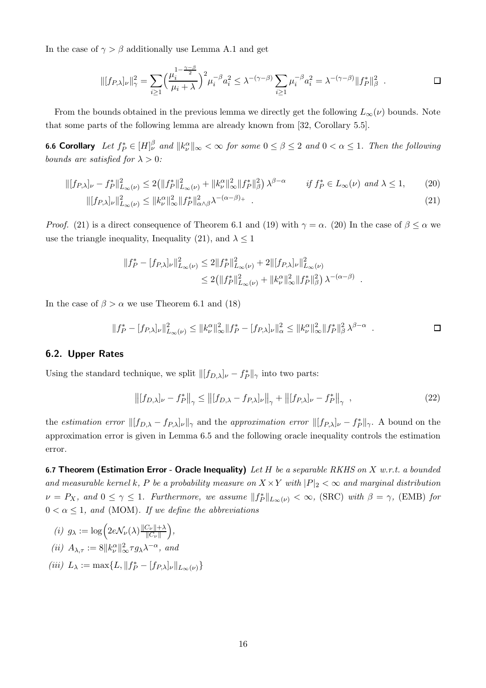In the case of  $\gamma > \beta$  additionally use Lemma [A.1](#page-23-0) and get

$$
\| [f_{P,\lambda}]_{\nu} \|_{\gamma}^2 = \sum_{i \ge 1} \left( \frac{\mu_i^{1 - \frac{\gamma - \beta}{2}}}{\mu_i + \lambda} \right)^2 \mu_i^{-\beta} a_i^2 \le \lambda^{-(\gamma - \beta)} \sum_{i \ge 1} \mu_i^{-\beta} a_i^2 = \lambda^{-(\gamma - \beta)} \| f_P^* \|_{\beta}^2
$$

From the bounds obtained in the previous lemma we directly get the following  $L_{\infty}(\nu)$  bounds. Note that some parts of the following lemma are already known from [\[32](#page-25-9), Corollary 5.5].

**6.6 Corollary** Let  $f_P^* \in [H]_{\nu}^{\beta}$  and  $||k_{\nu}^{\alpha}||_{\infty} < \infty$  for some  $0 \le \beta \le 2$  and  $0 < \alpha \le 1$ . Then the following bounds are satisfied for  $\lambda > 0$ :

$$
\| [f_{P,\lambda}]_{\nu} - f_{P}^{*} \|_{L_{\infty}(\nu)}^{2} \le 2 \left( \| f_{P}^{*} \|_{L_{\infty}(\nu)}^{2} + \| k_{\nu}^{\alpha} \|_{\infty}^{2} \| f_{P}^{*} \|_{\beta}^{2} \right) \lambda^{\beta - \alpha} \qquad \text{if } f_{P}^{*} \in L_{\infty}(\nu) \text{ and } \lambda \le 1,
$$
\n
$$
\| [f_{P,\lambda}]_{\nu} \|_{L_{\infty}(\nu)}^{2} \le \| k_{\nu}^{\alpha} \|_{\infty}^{2} \| f_{P}^{*} \|_{\alpha \wedge \beta}^{2} \lambda^{-(\alpha - \beta)}.
$$
\n
$$
(21)
$$

*Proof.* [\(21\)](#page-15-1) is a direct consequence of Theorem [6.1](#page-11-6) and [\(19\)](#page-14-1) with  $\gamma = \alpha$ . [\(20\)](#page-15-2) In the case of  $\beta \leq \alpha$  we use the triangle inequality, Inequality [\(21\)](#page-15-1), and  $\lambda \leq 1$ 

$$
||f_P^* - [f_{P,\lambda}]_{\nu}||_{L_{\infty}(\nu)}^2 \le 2||f_P^*||_{L_{\infty}(\nu)}^2 + 2||[f_{P,\lambda}]_{\nu}||_{L_{\infty}(\nu)}^2
$$
  

$$
\le 2(||f_P^*||_{L_{\infty}(\nu)}^2 + ||k_{\nu}^{\alpha}||_{\infty}^2||f_P^*||_{\beta}^2) \lambda^{-(\alpha-\beta)}
$$

In the case of  $\beta > \alpha$  we use Theorem [6.1](#page-11-6) and [\(18\)](#page-14-0)

$$
||f_P^* - [f_{P,\lambda}]_{\nu}||_{L_{\infty}(\nu)}^2 \le ||k_{\nu}^{\alpha}||_{\infty}^2 ||f_P^* - [f_{P,\lambda}]_{\nu}||_{\alpha}^2 \le ||k_{\nu}^{\alpha}||_{\infty}^2 ||f_P^*||_{\beta}^2 \lambda^{\beta - \alpha} .
$$

<span id="page-15-2"></span><span id="page-15-1"></span>.

#### 6.2. Upper Rates

Using the standard technique, we split  $\| [f_{D,\lambda}]_{\nu} - f^*_{P} \|_{\gamma}$  into two parts:

<span id="page-15-3"></span>
$$
\left\| [f_{D,\lambda}]_{\nu} - f_P^* \right\|_{\gamma} \le \left\| [f_{D,\lambda} - f_{P,\lambda}]_{\nu} \right\|_{\gamma} + \left\| [f_{P,\lambda}]_{\nu} - f_P^* \right\|_{\gamma} , \tag{22}
$$

the *estimation error*  $\|[f_{D,\lambda} - f_{P,\lambda}]_{\nu}\|_{\gamma}$  and the *approximation error*  $\|[f_{P,\lambda}]_{\nu} - f_P^*\|_{\gamma}$ . A bound on the approximation error is given in Lemma [6.5](#page-14-2) and the following oracle inequality controls the estimation error.

<span id="page-15-0"></span>6.7 Theorem (Estimation Error - Oracle Inequality) Let  $H$  be a separable RKHS on  $X$  w.r.t. a bounded and measurable kernel k, P be a probability measure on  $X \times Y$  with  $|P|_2 < \infty$  and marginal distribution  $\nu = P_X$ , and  $0 \le \gamma \le 1$ . Furthermore, we assume  $||f_P^*||_{L_\infty(\nu)} < \infty$ , [\(SRC\)](#page-4-1) with  $\beta = \gamma$ , [\(EMB\)](#page-4-0) for  $0 < \alpha \leq 1$ , and [\(MOM\)](#page-4-2). If we define the abbreviations

(i) 
$$
g_{\lambda} := \log \left( 2e \mathcal{N}_{\nu}(\lambda) \frac{\|\mathcal{C}_{\nu}\| + \lambda}{\|\mathcal{C}_{\nu}\|} \right),
$$
  
\n(ii)  $A_{\lambda, \tau} := 8 \|k_{\nu}^{\alpha}\|_{\infty}^2 \tau g_{\lambda} \lambda^{-\alpha}, \text{ and}$   
\n(iii)  $L_{\lambda} := \max \{L, \|f_P^* - [f_{P,\lambda}]_{\nu}\|_{L_{\infty}(\nu)}\}$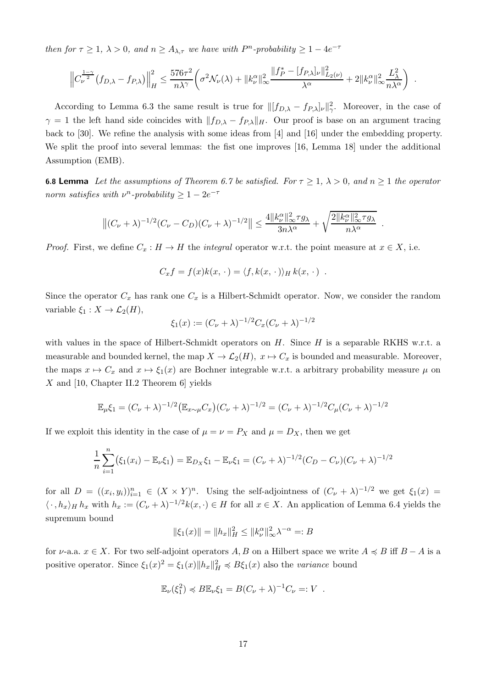then for  $\tau \geq 1$ ,  $\lambda > 0$ , and  $n \geq A_{\lambda,\tau}$  we have with  $P^n$ -probability  $\geq 1 - 4e^{-\tau}$ 

$$
\left\|C_{\nu}^{\frac{1-\gamma}{2}}(f_{D,\lambda}-f_{P,\lambda})\right\|_{H}^{2} \leq \frac{576\tau^{2}}{n\lambda^{\gamma}}\left(\sigma^{2}\mathcal{N}_{\nu}(\lambda)+\|k_{\nu}^{\alpha}\|_{\infty}^{2}\frac{\|f_{P}^{*}-[f_{P,\lambda}]_{\nu}\|_{L_{2}(\nu)}^{2}}{\lambda^{\alpha}}+2\|k_{\nu}^{\alpha}\|_{\infty}^{2}\frac{L_{\lambda}^{2}}{n\lambda^{\alpha}}\right).
$$

According to Lemma [6.3](#page-13-3) the same result is true for  $\| [f_{D,\lambda} - f_{P,\lambda}]_{\nu} \|_{\gamma}^2$ . Moreover, in the case of  $\gamma = 1$  the left hand side coincides with  $||f_{D,\lambda} - f_{P,\lambda}||_H$ . Our proof is base on an argument tracing back to [\[30\]](#page-25-1). We refine the analysis with some ideas from [\[4](#page-24-5)] and [\[16](#page-24-9)] under the embedding property. We split the proof into several lemmas: the fist one improves [\[16](#page-24-9), Lemma 18] under the additional Assumption [\(EMB\)](#page-4-0).

<span id="page-16-0"></span>**6.8 Lemma** Let the assumptions of Theorem [6.7](#page-15-0) be satisfied. For  $\tau \geq 1$ ,  $\lambda > 0$ , and  $n \geq 1$  the operator norm satisfies with  $\nu^n$ -probability  $\geq 1 - 2e^{-\tau}$ 

$$
\left\|(C_{\nu}+\lambda)^{-1/2}(C_{\nu}-C_D)(C_{\nu}+\lambda)^{-1/2}\right\|\leq \frac{4\|k_{\nu}^{\alpha}\|_{\infty}^2\tau g_{\lambda}}{3n\lambda^{\alpha}}+\sqrt{\frac{2\|k_{\nu}^{\alpha}\|_{\infty}^2\tau g_{\lambda}}{n\lambda^{\alpha}}}.
$$

*Proof.* First, we define  $C_x : H \to H$  the *integral* operator w.r.t. the point measure at  $x \in X$ , i.e.

$$
C_x f = f(x)k(x, \cdot) = \langle f, k(x, \cdot) \rangle_H k(x, \cdot) .
$$

Since the operator  $C_x$  has rank one  $C_x$  is a Hilbert-Schmidt operator. Now, we consider the random variable  $\xi_1 : X \to \mathcal{L}_2(H)$ ,

$$
\xi_1(x) := (C_{\nu} + \lambda)^{-1/2} C_x (C_{\nu} + \lambda)^{-1/2}
$$

with values in the space of Hilbert-Schmidt operators on  $H$ . Since  $H$  is a separable RKHS w.r.t. a measurable and bounded kernel, the map  $X \to \mathcal{L}_2(H)$ ,  $x \mapsto C_x$  is bounded and measurable. Moreover, the maps  $x \mapsto C_x$  and  $x \mapsto \xi_1(x)$  are Bochner integrable w.r.t. a arbitrary probability measure  $\mu$  on X and [\[10](#page-24-18), Chapter II.2 Theorem 6] yields

$$
\mathbb{E}_{\mu}\xi_1 = (C_{\nu} + \lambda)^{-1/2} \big(\mathbb{E}_{x \sim \mu} C_x\big)(C_{\nu} + \lambda)^{-1/2} = (C_{\nu} + \lambda)^{-1/2} C_{\mu} (C_{\nu} + \lambda)^{-1/2}
$$

If we exploit this identity in the case of  $\mu = \nu = P_X$  and  $\mu = D_X$ , then we get

$$
\frac{1}{n}\sum_{i=1}^{n} (\xi_1(x_i) - \mathbb{E}_{\nu}\xi_1) = \mathbb{E}_{D_X}\xi_1 - \mathbb{E}_{\nu}\xi_1 = (C_{\nu} + \lambda)^{-1/2}(C_D - C_{\nu})(C_{\nu} + \lambda)^{-1/2}
$$

for all  $D = ((x_i, y_i))_{i=1}^n \in (X \times Y)^n$ . Using the self-adjointness of  $(C_\nu + \lambda)^{-1/2}$  we get  $\xi_1(x) =$  $\langle \cdot, h_x \rangle_H h_x$  with  $h_x := (C_\nu + \lambda)^{-1/2} k(x, \cdot) \in H$  for all  $x \in X$ . An application of Lemma [6.4](#page-13-2) yields the supremum bound

$$
\|\xi_1(x)\| = \|h_x\|_H^2 \le \|k^\alpha_\nu\|_\infty^2 \lambda^{-\alpha} =: B
$$

for  $\nu$ -a.a.  $x \in X$ . For two self-adjoint operators A, B on a Hilbert space we write  $A \preccurlyeq B$  iff  $B - A$  is a positive operator. Since  $\xi_1(x)^2 = \xi_1(x) \|h_x\|_H^2 \preccurlyeq B\xi_1(x)$  also the variance bound

$$
\mathbb{E}_{\nu}(\xi_1^2) \preccurlyeq B \mathbb{E}_{\nu} \xi_1 = B(C_{\nu} + \lambda)^{-1} C_{\nu} =: V .
$$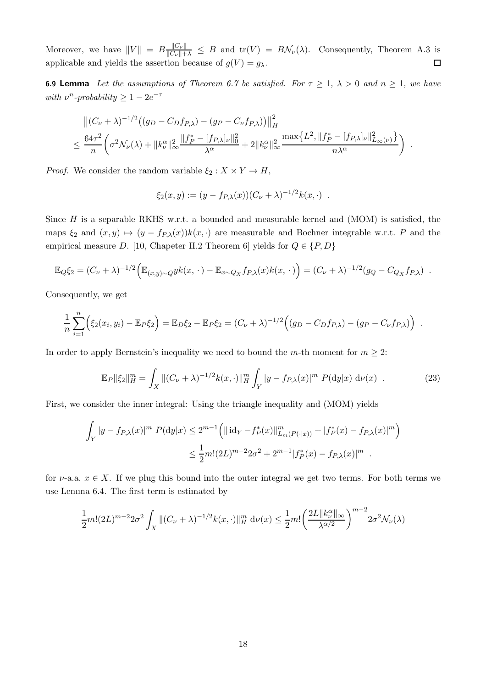Moreover, we have  $||V|| = B \frac{||C_{\nu}||}{||C_{\nu}|| + \lambda} \leq B$  and  $tr(V) = B\mathcal{N}_{\nu}(\lambda)$ . Consequently, Theorem [A.3](#page-23-1) is applicable and yields the assertion because of  $g(V) = g_{\lambda}$ .

<span id="page-17-1"></span>**6.9 Lemma** Let the assumptions of Theorem [6.7](#page-15-0) be satisfied. For  $\tau \ge 1$ ,  $\lambda > 0$  and  $n \ge 1$ , we have with  $\nu^n$ -probability  $\geq 1 - 2e^{-\tau}$ 

$$
\left\| (C_{\nu} + \lambda)^{-1/2} \left( (g_D - C_D f_{P,\lambda}) - (g_P - C_{\nu} f_{P,\lambda}) \right) \right\|_H^2
$$
  

$$
\leq \frac{64\tau^2}{n} \left( \sigma^2 \mathcal{N}_{\nu}(\lambda) + \|k_{\nu}^{\alpha}\|_{\infty}^2 \frac{\|f_P^* - [f_{P,\lambda}]_{\nu}\|_0^2}{\lambda^{\alpha}} + 2 \|k_{\nu}^{\alpha}\|_{\infty}^2 \frac{\max\{L^2, \|f_P^* - [f_{P,\lambda}]_{\nu}\|_{L_{\infty}(\nu)}^2\}}{n\lambda^{\alpha}} \right)
$$

.

*Proof.* We consider the random variable  $\xi_2 : X \times Y \to H$ ,

$$
\xi_2(x, y) := (y - f_{P,\lambda}(x))(C_{\nu} + \lambda)^{-1/2}k(x, \cdot) .
$$

Since  $H$  is a separable RKHS w.r.t. a bounded and measurable kernel and  $(MOM)$  is satisfied, the maps  $\xi_2$  and  $(x, y) \mapsto (y - f_{P,\lambda}(x))k(x, \cdot)$  are measurable and Bochner integrable w.r.t. P and the empirical measure D. [\[10,](#page-24-18) Chapeter II.2 Theorem 6] yields for  $Q \in \{P, D\}$ 

$$
\mathbb{E}_{Q}\xi_{2} = (C_{\nu} + \lambda)^{-1/2} \Big( \mathbb{E}_{(x,y)\sim Q} yk(x,\,\cdot\,) - \mathbb{E}_{x\sim Q_{X}} f_{P,\lambda}(x)k(x,\,\cdot\,) \Big) = (C_{\nu} + \lambda)^{-1/2} (g_{Q} - C_{Q_{X}} f_{P,\lambda}) .
$$

Consequently, we get

$$
\frac{1}{n}\sum_{i=1}^n (\xi_2(x_i,y_i) - \mathbb{E}_P\xi_2) = \mathbb{E}_D\xi_2 - \mathbb{E}_P\xi_2 = (C_\nu + \lambda)^{-1/2} ((g_D - C_Df_{P,\lambda}) - (g_P - C_\nu f_{P,\lambda}))
$$

In order to apply Bernstein's inequality we need to bound the m-th moment for  $m \geq 2$ :

<span id="page-17-0"></span>
$$
\mathbb{E}_P \|\xi_2\|_H^m = \int_X \|(C_\nu + \lambda)^{-1/2} k(x, \cdot)\|_H^m \int_Y |y - f_{P,\lambda}(x)|^m P(\mathrm{d}y|x) \, \mathrm{d}\nu(x) \tag{23}
$$

First, we consider the inner integral: Using the triangle inequality and [\(MOM\)](#page-4-2) yields

$$
\int_{Y} |y - f_{P,\lambda}(x)|^{m} P(\mathrm{d}y|x) \le 2^{m-1} \left( \|\mathrm{id}_{Y} - f_{P}^{*}(x)\|_{L_{m}(P(\cdot|x))}^{m} + |f_{P}^{*}(x) - f_{P,\lambda}(x)|^{m} \right)
$$
  

$$
\le \frac{1}{2} m! (2L)^{m-2} 2\sigma^{2} + 2^{m-1} |f_{P}^{*}(x) - f_{P,\lambda}(x)|^{m} .
$$

for  $\nu$ -a.a.  $x \in X$ . If we plug this bound into the outer integral we get two terms. For both terms we use Lemma [6.4.](#page-13-2) The first term is estimated by

$$
\frac{1}{2}m!(2L)^{m-2}2\sigma^2\int_X \|(C_\nu+\lambda)^{-1/2}k(x,\cdot)\|_H^m \,d\nu(x) \le \frac{1}{2}m!\left(\frac{2L\|k_\nu^\alpha\|_\infty}{\lambda^{\alpha/2}}\right)^{m-2}2\sigma^2\mathcal{N}_\nu(\lambda)
$$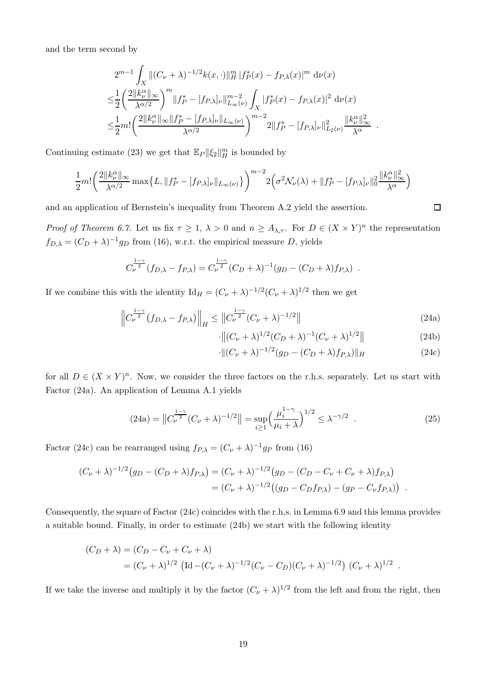and the term second by

$$
2^{m-1} \int_X \|(C_{\nu} + \lambda)^{-1/2} k(x, \cdot)\|_H^m |f_P^*(x) - f_{P,\lambda}(x)|^m d\nu(x)
$$
  
\n
$$
\leq \frac{1}{2} \left( \frac{2 \|k_{\nu}^{\alpha}\|_{\infty}}{\lambda^{\alpha/2}} \right)^m \|f_P^* - [f_{P,\lambda}]_{\nu}\|_{L_{\infty}(\nu)}^{m-2} \int_X |f_P^*(x) - f_{P,\lambda}(x)|^2 d\nu(x)
$$
  
\n
$$
\leq \frac{1}{2} m! \left( \frac{2 \|k_{\nu}^{\alpha}\|_{\infty} \|f_P^* - [f_{P,\lambda}]_{\nu}\|_{L_{\infty}(\nu)}}{\lambda^{\alpha/2}} \right)^{m-2} 2 \|f_P^* - [f_{P,\lambda}]_{\nu}\|_{L_{2}(\nu)}^2 \frac{\|k_{\nu}^{\alpha}\|_{\infty}^2}{\lambda^{\alpha}}.
$$

Continuing estimate [\(23\)](#page-17-0) we get that  $\mathbb{E}_P ||\xi_2||_H^m$  is bounded by

$$
\frac{1}{2}m!\left(\frac{2||k_{\nu}^{\alpha}||_{\infty}}{\lambda^{\alpha/2}}\max\{L,||f_{P}^{*}-[f_{P,\lambda}]_{\nu}||_{L_{\infty}(\nu)}\}\right)^{m-2}2(\sigma^{2}\mathcal{N}_{\nu}(\lambda)+||f_{P}^{*}-[f_{P,\lambda}]_{\nu}||_{0}^{2}\frac{||k_{\nu}^{\alpha}||_{\infty}^{2}}{\lambda^{\alpha}})
$$

and an application of Bernstein's inequality from Theorem [A.2](#page-23-2) yield the assertion.

*Proof of Theorem [6.7.](#page-15-0)* Let us fix  $\tau \geq 1$ ,  $\lambda > 0$  and  $n \geq A_{\lambda,\tau}$ . For  $D \in (X \times Y)^n$  the representation  $f_{D,\lambda} = (C_D + \lambda)^{-1} g_D$  from [\(16\)](#page-12-3), w.r.t. the empirical measure D, yields

$$
C_{\nu}^{\frac{1-\gamma}{2}}(f_{D,\lambda} - f_{P,\lambda}) = C_{\nu}^{\frac{1-\gamma}{2}}(C_D + \lambda)^{-1}(g_D - (C_D + \lambda)f_{P,\lambda}).
$$

If we combine this with the identity  $\mathrm{Id}_H = (C_{\nu} + \lambda)^{-1/2} (C_{\nu} + \lambda)^{1/2}$  then we get

$$
\left\|C_{\nu}^{\frac{1-\gamma}{2}}(f_{D,\lambda} - f_{P,\lambda})\right\|_{H} \leq \left\|C_{\nu}^{\frac{1-\gamma}{2}}(C_{\nu} + \lambda)^{-1/2}\right\|
$$
\n(24a)

$$
\cdot \|(C_{\nu} + \lambda)^{1/2} (C_D + \lambda)^{-1} (C_{\nu} + \lambda)^{1/2}\|
$$
\n(24b)

$$
\cdot \|(C_{\nu} + \lambda)^{-1/2}(g_D - (C_D + \lambda)f_{P,\lambda})\|_H \tag{24c}
$$

for all  $D \in (X \times Y)^n$ . Now, we consider the three factors on the r.h.s. separately. Let us start with Factor [\(24a\)](#page-18-0). An application of Lemma [A.1](#page-23-0) yields

<span id="page-18-4"></span>
$$
(24a) = \left\| C_{\nu}^{\frac{1-\gamma}{2}} (C_{\nu} + \lambda)^{-1/2} \right\| = \sup_{i \ge 1} \left( \frac{\mu_i^{1-\gamma}}{\mu_i + \lambda} \right)^{1/2} \le \lambda^{-\gamma/2} . \tag{25}
$$

Factor [\(24c\)](#page-18-1) can be rearranged using  $f_{P,\lambda} = (C_{\nu} + \lambda)^{-1} g_P$  from [\(16\)](#page-12-3)

$$
(C_{\nu} + \lambda)^{-1/2} (g_D - (C_D + \lambda) f_{P,\lambda}) = (C_{\nu} + \lambda)^{-1/2} (g_D - (C_D - C_{\nu} + C_{\nu} + \lambda) f_{P,\lambda})
$$
  
=  $(C_{\nu} + \lambda)^{-1/2} ((g_D - C_D f_{P,\lambda}) - (g_P - C_{\nu} f_{P,\lambda}))$ 

Consequently, the square of Factor [\(24c\)](#page-18-1) coincides with the r.h.s. in Lemma [6.9](#page-17-1) and this lemma provides a suitable bound. Finally, in order to estimate [\(24b\)](#page-18-2) we start with the following identity

$$
(C_D + \lambda) = (C_D - C_\nu + C_\nu + \lambda)
$$
  
=  $(C_\nu + \lambda)^{1/2}$   $(\text{Id} - (C_\nu + \lambda)^{-1/2} (C_\nu - C_D)(C_\nu + \lambda)^{-1/2}) (C_\nu + \lambda)^{1/2}$ .

If we take the inverse and multiply it by the factor  $(C_{\nu} + \lambda)^{1/2}$  from the left and from the right, then

<span id="page-18-3"></span><span id="page-18-2"></span><span id="page-18-1"></span><span id="page-18-0"></span> $\Box$ 

.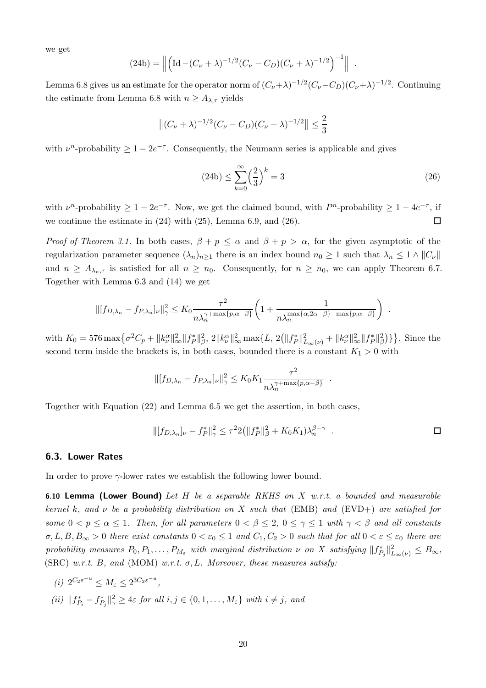we get

$$
(24b) = \left\| \left( \text{Id} - (C_{\nu} + \lambda)^{-1/2} (C_{\nu} - C_D)(C_{\nu} + \lambda)^{-1/2} \right)^{-1} \right\|.
$$

Lemma [6.8](#page-16-0) gives us an estimate for the operator norm of  $(C_{\nu}+\lambda)^{-1/2}(C_{\nu}-C_D)(C_{\nu}+\lambda)^{-1/2}$ . Continuing the estimate from Lemma [6.8](#page-16-0) with  $n \geq A_{\lambda,\tau}$  yields

$$
\left\| (C_{\nu} + \lambda)^{-1/2} (C_{\nu} - C_D)(C_{\nu} + \lambda)^{-1/2} \right\| \le \frac{2}{3}
$$

with  $\nu^n$ -probability  $\geq 1 - 2e^{-\tau}$ . Consequently, the Neumann series is applicable and gives

<span id="page-19-0"></span>
$$
(24b) \le \sum_{k=0}^{\infty} \left(\frac{2}{3}\right)^k = 3\tag{26}
$$

with  $\nu^n$ -probability  $\geq 1 - 2e^{-\tau}$ . Now, we get the claimed bound, with  $P^n$ -probability  $\geq 1 - 4e^{-\tau}$ , if we continue the estimate in  $(24)$  with  $(25)$ , Lemma [6.9,](#page-17-1) and  $(26)$ .  $\Box$ 

*Proof of Theorem [3.1.](#page-4-3)* In both cases,  $\beta + p \le \alpha$  and  $\beta + p > \alpha$ , for the given asymptotic of the regularization parameter sequence  $(\lambda_n)_{n\geq 1}$  there is an index bound  $n_0 \geq 1$  such that  $\lambda_n \leq 1 \wedge ||C_{\nu}||$ and  $n \geq A_{\lambda_n,\tau}$  is satisfied for all  $n \geq n_0$ . Consequently, for  $n \geq n_0$ , we can apply Theorem [6.7.](#page-15-0) Together with Lemma [6.3](#page-13-3) and [\(14\)](#page-12-0) we get

$$
\| [f_{D,\lambda_n} - f_{P,\lambda_n}]_{\nu} \|_{\gamma}^2 \le K_0 \frac{\tau^2}{n\lambda_n^{\gamma + \max\{p,\alpha-\beta\}}} \left( 1 + \frac{1}{n\lambda_n^{\max\{\alpha,2\alpha-\beta\} - \max\{p,\alpha-\beta\}}} \right) .
$$

with  $K_0 = 576 \max \{ \sigma^2 C_p + ||k_{\nu}^{\alpha}||_{\infty}^2 ||f_P^*||_{\beta}^2, 2||k_{\nu}^{\alpha}||_{\infty}^2 \max \{ L, 2(||f_P^*||_{L_{\infty}(\nu)}^2 + ||k_{\nu}^{\alpha}||_{\infty}^2 ||f_P^*||_{\beta}^2) \}$ . Since the second term inside the brackets is, in both cases, bounded there is a constant  $K_1 > 0$  with

$$
||[f_{D,\lambda_n} - f_{P,\lambda_n}]_{\nu}||_{\gamma}^2 \leq K_0 K_1 \frac{\tau^2}{n\lambda_n^{\gamma + \max\{p,\alpha-\beta\}}}.
$$

Together with Equation [\(22\)](#page-15-3) and Lemma [6.5](#page-14-2) we get the assertion, in both cases,

$$
\| [f_{D,\lambda_n}]_{\nu} - f_P^* \|_{\gamma}^2 \le \tau^2 2 \left( \| f_P^* \|_{\beta}^2 + K_0 K_1 \right) \lambda_n^{\beta - \gamma} . \qquad \Box
$$

#### 6.3. Lower Rates

In order to prove  $\gamma$ -lower rates we establish the following lower bound.

<span id="page-19-1"></span>6.10 Lemma (Lower Bound) Let  $H$  be a separable RKHS on  $X$  w.r.t. a bounded and measurable kernel k, and  $\nu$  be a probability distribution on X such that [\(EMB\)](#page-4-0) and [\(EVD+\)](#page-3-4) are satisfied for some  $0 < p \le \alpha \le 1$ . Then, for all parameters  $0 < \beta \le 2$ ,  $0 \le \gamma \le 1$  with  $\gamma < \beta$  and all constants  $\sigma, L, B, B_{\infty} > 0$  there exist constants  $0 < \varepsilon_0 \leq 1$  and  $C_1, C_2 > 0$  such that for all  $0 < \varepsilon \leq \varepsilon_0$  there are probability measures  $P_0, P_1, \ldots, P_{M_\varepsilon}$  with marginal distribution  $\nu$  on X satisfying  $||f^*_{P_j}||^2_{L_\infty(\nu)} \leq B_\infty$ , [\(SRC\)](#page-4-1) w.r.t. B, and [\(MOM\)](#page-4-2) w.r.t.  $\sigma$ , L. Moreover, these measures satisfy:

<span id="page-19-3"></span><span id="page-19-2"></span>(i)  $2^{C_2 \varepsilon^{-u}} \leq M_{\varepsilon} \leq 2^{3C_2 \varepsilon^{-u}}$ , (ii)  $|| f_{P_i}^* - f_{P_j}^* ||_{\gamma}^2 \geq 4\varepsilon$  for all  $i, j \in \{0, 1, ..., M_{\varepsilon}\}\$  with  $i \neq j$ , and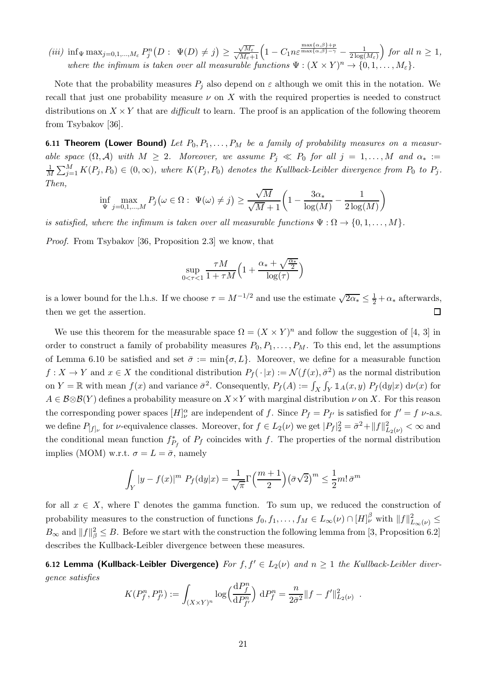<span id="page-20-0"></span>(iii)  $\inf_{\Psi} \max_{j=0,1,\dots,M_{\varepsilon}} P_j^n(D: \Psi(D) \neq j) \geq$ √  $\frac{\sqrt{M_{\varepsilon}}}{\sqrt{M_{\varepsilon}}+1}\Big(1-C_1 n \varepsilon^{\frac{\max\{\alpha,\beta\}+p}{\max\{\alpha,\beta\}-\gamma}}-\frac{1}{2\log(1+\varepsilon)}\Big)$  $\frac{1}{2\log(M_{\varepsilon})}$  for all  $n \geq 1$ , where the infimum is taken over all measurable functions  $\Psi : (X \times Y)^n \to \{0, 1, \ldots, M_{\varepsilon}\}.$ 

Note that the probability measures  $P_j$  also depend on  $\varepsilon$  although we omit this in the notation. We recall that just one probability measure  $\nu$  on X with the required properties is needed to construct distributions on  $X \times Y$  that are *difficult* to learn. The proof is an application of the following theorem from Tsybakov [\[36\]](#page-25-13).

<span id="page-20-2"></span>6.11 Theorem (Lower Bound) Let  $P_0, P_1, \ldots, P_M$  be a family of probability measures on a measurable space  $(\Omega, \mathcal{A})$  with  $M \geq 2$ . Moreover, we assume  $P_j \ll P_0$  for all  $j = 1, ..., M$  and  $\alpha_* :=$ 1  $\frac{1}{M}\sum_{j=1}^{M} K(P_j, P_0) \in (0, \infty)$ , where  $K(P_j, P_0)$  denotes the Kullback-Leibler divergence from  $P_0$  to  $P_j$ . Then,

$$
\inf_{\Psi} \max_{j=0,1,\dots,M} P_j(\omega \in \Omega: \ \Psi(\omega) \neq j) \geq \frac{\sqrt{M}}{\sqrt{M}+1} \left(1 - \frac{3\alpha_*}{\log(M)} - \frac{1}{2\log(M)}\right)
$$

is satisfied, where the infimum is taken over all measurable functions  $\Psi : \Omega \to \{0, 1, \ldots, M\}.$ 

Proof. From Tsybakov [\[36](#page-25-13), Proposition 2.3] we know, that

$$
\sup_{0 < \tau < 1} \frac{\tau M}{1 + \tau M} \left( 1 + \frac{\alpha_* + \sqrt{\frac{\alpha_*}{2}}}{\log(\tau)} \right)
$$

is a lower bound for the l.h.s. If we choose  $\tau = M^{-1/2}$  and use the estimate  $\sqrt{2\alpha_*} \leq \frac{1}{2} + \alpha_*$  afterwards, then we get the assertion.  $\Box$ 

We use this theorem for the measurable space  $\Omega = (X \times Y)^n$  and follow the suggestion of [\[4](#page-24-5), [3](#page-24-6)] in order to construct a family of probability measures  $P_0, P_1, \ldots, P_M$ . To this end, let the assumptions of Lemma [6.10](#page-19-1) be satisfied and set  $\bar{\sigma} := \min\{\sigma, L\}$ . Moreover, we define for a measurable function  $f: X \to Y$  and  $x \in X$  the conditional distribution  $P_f(\cdot | x) := \mathcal{N}(f(x), \bar{\sigma}^2)$  as the normal distribution on  $Y = \mathbb{R}$  with mean  $f(x)$  and variance  $\bar{\sigma}^2$ . Consequently,  $P_f(A) := \int_X \int_Y \mathbb{1}_A(x, y) P_f(\mathrm{d}y|x) \, \mathrm{d}\nu(x)$  for  $A \in \mathcal{B}\otimes\mathcal{B}(Y)$  defines a probability measure on  $X\times Y$  with marginal distribution  $\nu$  on X. For this reason the corresponding power spaces  $[H]_{\nu}^{\alpha}$  are independent of f. Since  $P_f = P_{f'}$  is satisfied for  $f' = f \nu$ -a.s. we define  $P_{[f]_\nu}$  for  $\nu$ -equivalence classes. Moreover, for  $f \in L_2(\nu)$  we get  $|P_f|^2_2 = \bar{\sigma}^2 + ||f||^2_{L_2(\nu)} < \infty$  and the conditional mean function  $f_{P_f}^*$  of  $P_f$  coincides with f. The properties of the normal distribution implies [\(MOM\)](#page-4-2) w.r.t.  $\sigma = L = \bar{\sigma}$ , namely

$$
\int_{Y} |y - f(x)|^{m} P_{f}(\mathrm{d}y|x) = \frac{1}{\sqrt{\pi}} \Gamma\left(\frac{m+1}{2}\right) (\bar{\sigma}\sqrt{2})^{m} \le \frac{1}{2} m! \,\bar{\sigma}^{m}
$$

for all  $x \in X$ , where  $\Gamma$  denotes the gamma function. To sum up, we reduced the construction of probability measures to the construction of functions  $f_0, f_1, \ldots, f_M \in L_\infty(\nu) \cap [H]_{\nu}^{\beta}$  with  $||f||_{L_\infty(\nu)}^2 \leq$  $B_{\infty}$  and  $||f||_{\beta}^2 \leq B$ . Before we start with the construction the following lemma from [\[3,](#page-24-6) Proposition 6.2] describes the Kullback-Leibler divergence between these measures.

<span id="page-20-1"></span>6.12 Lemma (Kullback-Leibler Divergence) For  $f, f' \in L_2(\nu)$  and  $n \geq 1$  the Kullback-Leibler divergence satisfies

$$
K(P_f^n, P_{f'}^n) := \int_{(X \times Y)^n} \log \left( \frac{\mathrm{d} P_f^n}{\mathrm{d} P_{f'}^n} \right) \, \mathrm{d} P_f^n = \frac{n}{2 \bar{\sigma}^2} \| f - f' \|_{L_2(\nu)}^2 \; .
$$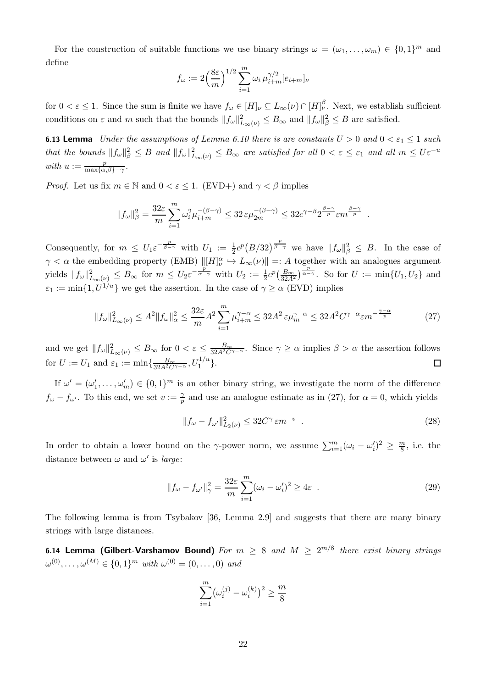For the construction of suitable functions we use binary strings  $\omega = (\omega_1, \dots, \omega_m) \in \{0, 1\}^m$  and define

$$
f_{\omega} := 2\left(\frac{8\varepsilon}{m}\right)^{1/2} \sum_{i=1}^{m} \omega_i \,\mu_{i+m}^{\gamma/2} [e_{i+m}]_{\nu}
$$

for  $0 < \varepsilon \leq 1$ . Since the sum is finite we have  $f_{\omega} \in [H]_{\nu} \subseteq L_{\infty}(\nu) \cap [H]_{\nu}^{\beta}$ . Next, we establish sufficient conditions on  $\varepsilon$  and  $m$  such that the bounds  $||f_{\omega}||_{L_{\infty}(\nu)}^2 \leq B_{\infty}$  and  $||f_{\omega}||_{\beta}^2 \leq B$  are satisfied.

<span id="page-21-0"></span>**6.13 Lemma** Under the assumptions of Lemma [6.10](#page-19-1) there is are constants  $U > 0$  and  $0 < \varepsilon_1 \leq 1$  such that the bounds  $||f_\omega||^2_\beta \leq B$  and  $||f_\omega||^2_{L_\infty(\nu)} \leq B_\infty$  are satisfied for all  $0 < \varepsilon \leq \varepsilon_1$  and all  $m \leq U \varepsilon^{-u}$ with  $u := \frac{p}{\max\{\alpha\}}$  $\frac{p}{\max\{\alpha,\beta\}-\gamma}$ .

*Proof.* Let us fix  $m \in \mathbb{N}$  and  $0 < \varepsilon \leq 1$ . [\(EVD+\)](#page-3-4) and  $\gamma < \beta$  implies

$$
||f_{\omega}||_{\beta}^2 = \frac{32\varepsilon}{m} \sum_{i=1}^m \omega_i^2 \mu_{i+m}^{-(\beta-\gamma)} \le 32\varepsilon \mu_{2m}^{-(\beta-\gamma)} \le 32c^{\gamma-\beta} 2^{\frac{\beta-\gamma}{p}} \varepsilon m^{\frac{\beta-\gamma}{p}}.
$$

Consequently, for  $m \leq U_1 \varepsilon^{-\frac{p}{\beta - \gamma}}$  with  $U_1 := \frac{1}{2} c^p (B/32)^{\frac{p}{\beta - \gamma}}$  we have  $||f_\omega||_\beta^2 \leq B$ . In the case of  $\gamma < \alpha$  the embedding property [\(EMB\)](#page-4-0)  $\Vert [H]_{\nu}^{\alpha} \hookrightarrow L_{\infty}(\nu) \Vert =: A$  together with an analogues argument yields  $||f_\omega||_{L_\infty(\nu)}^2 \leq B_\infty$  for  $m \leq U_2 \varepsilon^{-\frac{p}{\alpha - \gamma}}$  with  $U_2 := \frac{1}{2}c^p(\frac{B_\infty}{32A^2})^{\frac{p}{\alpha - \gamma}}$ . So for  $U := \min\{U_1, U_2\}$  and  $\varepsilon_1 := \min\{1, U^{1/u}\}\$  we get the assertion. In the case of  $\gamma \ge \alpha$  [\(EVD\)](#page-3-3) implies

<span id="page-21-1"></span>
$$
||f_{\omega}||_{L_{\infty}(\nu)}^2 \le A^2 ||f_{\omega}||_{\alpha}^2 \le \frac{32\varepsilon}{m} A^2 \sum_{i=1}^m \mu_{i+m}^{\gamma-\alpha} \le 32A^2 \varepsilon \mu_m^{\gamma-\alpha} \le 32A^2 C^{\gamma-\alpha} \varepsilon m^{-\frac{\gamma-\alpha}{p}} \tag{27}
$$

and we get  $||f_\omega||_{L_\infty(\nu)}^2 \leq B_\infty$  for  $0 < \varepsilon \leq \frac{B_\infty}{32A^2C^{\gamma-\alpha}}$ . Since  $\gamma \geq \alpha$  implies  $\beta > \alpha$  the assertion follows for  $U := U_1$  and  $\varepsilon_1 := \min\{\frac{B_{\infty}}{32A^2C^{\gamma-\alpha}}, U_1^{1/u}\}.$  $\Box$ 

If  $\omega' = (\omega'_1, \ldots, \omega'_m) \in \{0, 1\}^m$  is an other binary string, we investigate the norm of the difference  $f_{\omega} - f_{\omega'}$ . To this end, we set  $v := \frac{\gamma}{p}$  $_p^{\gamma}$  and use an analogue estimate as in [\(27\)](#page-21-1), for  $\alpha = 0$ , which yields

<span id="page-21-4"></span>
$$
||f_{\omega} - f_{\omega'}||_{L_2(\nu)}^2 \le 32C^{\gamma} \varepsilon m^{-\nu} . \tag{28}
$$

In order to obtain a lower bound on the γ-power norm, we assume  $\sum_{i=1}^{m} (\omega_i - \omega'_i)^2 \geq \frac{m}{8}$  $\frac{n}{8}$ , i.e. the distance between  $\omega$  and  $\omega'$  is *large*:

<span id="page-21-3"></span>
$$
||f_{\omega} - f_{\omega'}||_{\gamma}^2 = \frac{32\varepsilon}{m} \sum_{i=1}^m (\omega_i - \omega'_i)^2 \ge 4\varepsilon \quad . \tag{29}
$$

The following lemma is from Tsybakov [\[36](#page-25-13), Lemma 2.9] and suggests that there are many binary strings with large distances.

<span id="page-21-2"></span>6.14 Lemma (Gilbert-Varshamov Bound) For  $m~\geq~8$  and  $M~\geq~2^{m/8}$  there exist binary strings  $\omega^{(0)}, \ldots, \omega^{(M)} \in \{0, 1\}^m$  with  $\omega^{(0)} = (0, \ldots, 0)$  and

$$
\sum_{i=1}^m \bigl(\omega_i^{(j)} - \omega_i^{(k)}\bigr)^2 \geq \frac{m}{8}
$$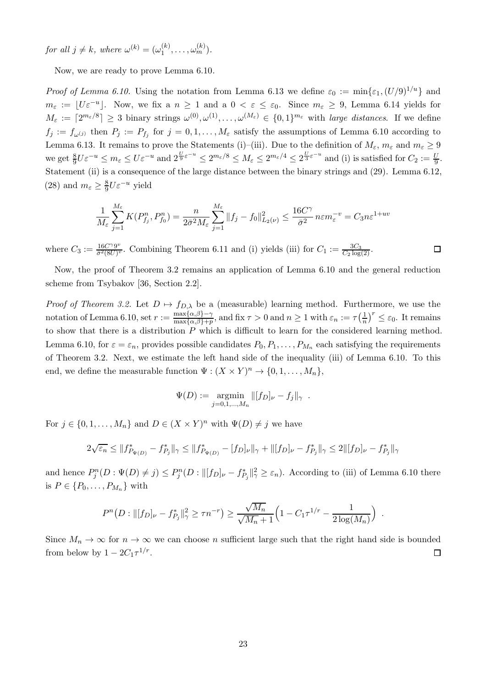for all  $j \neq k$ , where  $\omega^{(k)} = (\omega_1^{(k)})$  $\binom{k}{1},\ldots,\omega_m^{(k)}$ .

Now, we are ready to prove Lemma [6.10.](#page-19-1)

*Proof of Lemma [6.10.](#page-19-1)* Using the notation from Lemma [6.13](#page-21-0) we define  $\varepsilon_0 := \min\{\varepsilon_1, (U/9)^{1/u}\}\$ and  $m_{\varepsilon} := \lfloor U \varepsilon^{-u} \rfloor$ . Now, we fix a  $n \geq 1$  and a  $0 < \varepsilon \leq \varepsilon_0$ . Since  $m_{\varepsilon} \geq 9$ , Lemma [6.14](#page-21-2) yields for  $M_{\varepsilon} := \lceil 2^{m_{\varepsilon}/8} \rceil \geq 3$  binary strings  $\omega^{(0)}, \omega^{(1)}, \ldots, \omega^{(M_{\varepsilon})} \in \{0, 1\}^{m_{\varepsilon}}$  with *large distances*. If we define  $f_j := f_{\omega^{(j)}}$  then  $P_j := P_{f_j}$  for  $j = 0, 1, ..., M_{\varepsilon}$  satisfy the assumptions of Lemma [6.10](#page-19-1) according to Lemma [6.13.](#page-21-0) It remains to prove the Statements [\(i\)–](#page-19-2)[\(iii\).](#page-20-0) Due to the definition of  $M_{\varepsilon}$ ,  $m_{\varepsilon}$  and  $m_{\varepsilon} \geq 9$ we get  $\frac{8}{9}U\varepsilon^{-u} \le m_{\varepsilon} \le U\varepsilon^{-u}$  and  $2^{\frac{U}{9}\varepsilon^{-u}} \le 2^{m_{\varepsilon}/8} \le M_{\varepsilon} \le 2^{m_{\varepsilon}/4} \le 2^{\frac{U}{3}\varepsilon^{-u}}$  and [\(i\)](#page-19-2) is satisfied for  $C_2 := \frac{U}{9}$ . Statement [\(ii\)](#page-19-3) is a consequence of the large distance between the binary strings and [\(29\)](#page-21-3). Lemma [6.12,](#page-20-1) [\(28\)](#page-21-4) and  $m_{\varepsilon} \geq \frac{8}{9}$  $\frac{8}{9}U\varepsilon^{-u}$  yield

$$
\frac{1}{M_{\varepsilon}}\sum_{j=1}^{M_{\varepsilon}} K(P_{f_j}^n, P_{f_0}^n) = \frac{n}{2\bar{\sigma}^2 M_{\varepsilon}}\sum_{j=1}^{M_{\varepsilon}} \|f_j - f_0\|_{L_2(\nu)}^2 \le \frac{16C^{\gamma}}{\bar{\sigma}^2} n\varepsilon m_{\varepsilon}^{-v} = C_3 n\varepsilon^{1+uv}
$$

where  $C_3 := \frac{16 C^\gamma 9^v}{\bar{\sigma}^2 (8U)^v}$  $\frac{16C\gamma9v}{\bar{\sigma}^2(8U)^v}$ . Combining Theorem [6.11](#page-20-2) and [\(i\)](#page-19-2) yields [\(iii\)](#page-20-0) for  $C_1 := \frac{3C_3}{C_2 \log(2)}$ .

Now, the proof of Theorem [3.2](#page-5-2) remains an application of Lemma [6.10](#page-19-1) and the general reduction scheme from Tsybakov [\[36](#page-25-13), Section 2.2].

*Proof of Theorem [3.2.](#page-5-2)* Let  $D \mapsto f_{D,\lambda}$  be a (measurable) learning method. Furthermore, we use the notation of Lemma [6.10,](#page-19-1) set  $r := \frac{\max\{\alpha,\beta\} - \gamma}{\max\{\alpha,\beta\} + \gamma}$  $\frac{\max\{\alpha,\beta\}-\gamma}{\max\{\alpha,\beta\}+p}$ , and fix  $\tau > 0$  and  $n \geq 1$  with  $\varepsilon_n := \tau\left(\frac{1}{n}\right)$  $\frac{1}{n}$ )<sup>r</sup>  $\leq \varepsilon_0$ . It remains to show that there is a distribution  $P$  which is difficult to learn for the considered learning method. Lemma [6.10,](#page-19-1) for  $\varepsilon = \varepsilon_n$ , provides possible candidates  $P_0, P_1, \ldots, P_{M_n}$  each satisfying the requirements of Theorem [3.2.](#page-5-2) Next, we estimate the left hand side of the inequality [\(iii\)](#page-20-0) of Lemma [6.10.](#page-19-1) To this end, we define the measurable function  $\Psi : (X \times Y)^n \to \{0, 1, \ldots, M_n\},\$ 

$$
\Psi(D) := \underset{j=0,1,...,M_n}{\text{argmin}} ||[f_D]_{\nu} - f_j||_{\gamma} .
$$

For  $j \in \{0, 1, ..., M_n\}$  and  $D \in (X \times Y)^n$  with  $\Psi(D) \neq j$  we have

$$
2\sqrt{\varepsilon_n} \leq ||f^*_{P_{\Psi(D)}} - f^*_{P_j}||_{\gamma} \leq ||f^*_{P_{\Psi(D)}} - [f_D]_{\nu}||_{\gamma} + ||[f_D]_{\nu} - f^*_{P_j}||_{\gamma} \leq 2||[f_D]_{\nu} - f^*_{P_j}||_{\gamma}
$$

and hence  $P_j^n(D: \Psi(D) \neq j) \leq P_j^n(D: ||[f_D]_{\nu} - f_{P_j}^*||_{\gamma}^2 \geq \varepsilon_n)$ . According to [\(iii\)](#page-20-0) of Lemma [6.10](#page-19-1) there is  $P \in \{P_0, \ldots, P_{M_n}\}\$  with

$$
P^{n}(D: ||[f_D]_{\nu} - f_{P_j}^*||_{\gamma}^2 \ge \tau n^{-r}) \ge \frac{\sqrt{M_n}}{\sqrt{M_n} + 1} \left(1 - C_1 \tau^{1/r} - \frac{1}{2 \log(M_n)}\right)
$$

.

 $\Box$ 

Since  $M_n \to \infty$  for  $n \to \infty$  we can choose n sufficient large such that the right hand side is bounded from below by  $1 - 2C_1\tau^{1/r}$ .  $\Box$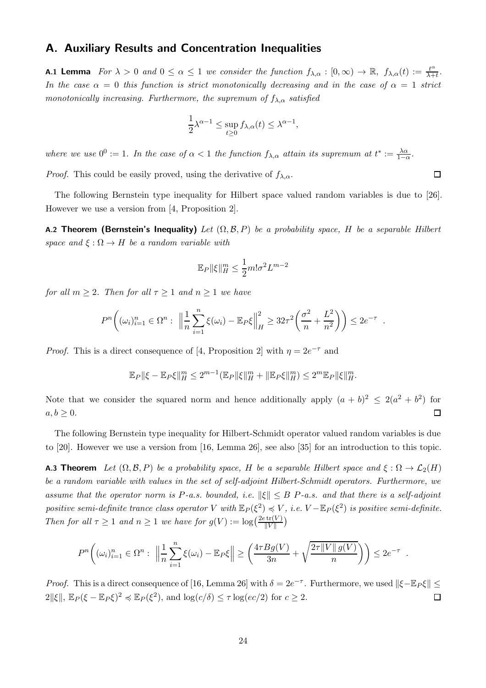## A. Auxiliary Results and Concentration Inequalities

<span id="page-23-0"></span>**A.1 Lemma** For  $\lambda > 0$  and  $0 \le \alpha \le 1$  we consider the function  $f_{\lambda,\alpha} : [0,\infty) \to \mathbb{R}$ ,  $f_{\lambda,\alpha}(t) := \frac{t^{\alpha}}{\lambda + 1}$  $\frac{t^{\alpha}}{\lambda+t}$ . In the case  $\alpha = 0$  this function is strict monotonically decreasing and in the case of  $\alpha = 1$  strict monotonically increasing. Furthermore, the supremum of  $f_{\lambda,\alpha}$  satisfied

$$
\frac{1}{2}\lambda^{\alpha-1} \le \sup_{t \ge 0} f_{\lambda,\alpha}(t) \le \lambda^{\alpha-1},
$$

where we use  $0^0 := 1$ . In the case of  $\alpha < 1$  the function  $f_{\lambda,\alpha}$  attain its supremum at  $t^* := \frac{\lambda \alpha}{1 - \alpha}$ . *Proof.* This could be easily proved, using the derivative of  $f_{\lambda,\alpha}$ .

The following Bernstein type inequality for Hilbert space valued random variables is due to [\[26](#page-25-14)]. However we use a version from [\[4](#page-24-5), Proposition 2].

<span id="page-23-2"></span>A.2 Theorem (Bernstein's Inequality) Let  $(\Omega, \mathcal{B}, P)$  be a probability space, H be a separable Hilbert space and  $\xi : \Omega \to H$  be a random variable with

$$
\mathbb{E}_P \|\xi\|_H^m \le \frac{1}{2}m!\sigma^2 L^{m-2}
$$

for all  $m \geq 2$ . Then for all  $\tau \geq 1$  and  $n \geq 1$  we have

$$
P^{n}\left((\omega_{i})_{i=1}^{n} \in \Omega^{n}: \ \left\|\frac{1}{n}\sum_{i=1}^{n}\xi(\omega_{i}) - \mathbb{E}_{P}\xi\right\|_{H}^{2} \geq 32\tau^{2}\left(\frac{\sigma^{2}}{n} + \frac{L^{2}}{n^{2}}\right)\right) \leq 2e^{-\tau}.
$$

*Proof.* This is a direct consequence of [\[4](#page-24-5), Proposition 2] with  $\eta = 2e^{-\tau}$  and

$$
\mathbb{E}_{P} \|\xi - \mathbb{E}_{P}\xi\|_{H}^{m} \leq 2^{m-1} (\mathbb{E}_{P} \|\xi\|_{H}^{m} + \|\mathbb{E}_{P}\xi\|_{H}^{m}) \leq 2^{m} \mathbb{E}_{P} \|\xi\|_{H}^{m}.
$$

Note that we consider the squared norm and hence additionally apply  $(a + b)^2 \leq 2(a^2 + b^2)$  for  $a, b \geq 0.$  $\Box$ 

The following Bernstein type inequality for Hilbert-Schmidt operator valued random variables is due to [\[20](#page-25-15)]. However we use a version from [\[16,](#page-24-9) Lemma 26], see also [\[35](#page-25-16)] for an introduction to this topic.

<span id="page-23-1"></span>**A.3 Theorem** Let  $(\Omega, \mathcal{B}, P)$  be a probability space, H be a separable Hilbert space and  $\xi : \Omega \to \mathcal{L}_2(H)$ be a random variable with values in the set of self-adjoint Hilbert-Schmidt operators. Furthermore, we assume that the operator norm is P-a.s. bounded, i.e.  $\|\xi\| \leq B$  P-a.s. and that there is a self-adjoint positive semi-definite trance class operator V with  $\mathbb{E}_P(\xi^2) \preccurlyeq V$ , i.e.  $V - \mathbb{E}_P(\xi^2)$  is positive semi-definite. Then for all  $\tau \geq 1$  and  $n \geq 1$  we have for  $g(V) := \log\left(\frac{2e \operatorname{tr}(V)}{\|V\|}\right)$ 

$$
P^{n}\left((\omega_{i})_{i=1}^{n}\in\Omega^{n}: \ \left\|\frac{1}{n}\sum_{i=1}^{n}\xi(\omega_{i})-\mathbb{E}_{P}\xi\right\|\geq\left(\frac{4\tau Bg(V)}{3n}+\sqrt{\frac{2\tau\|V\|g(V)}{n}}\right)\right)\leq 2e^{-\tau}.
$$

*Proof.* This is a direct consequence of [\[16](#page-24-9), Lemma 26] with  $\delta = 2e^{-\tau}$ . Furthermore, we used  $\|\xi - \mathbb{E}_P \xi\| \le$  $2\|\xi\|$ ,  $\mathbb{E}_P(\xi - \mathbb{E}_P\xi)^2 \preccurlyeq \mathbb{E}_P(\xi^2)$ , and  $\log(c/\delta) \leq \tau \log(cc/2)$  for  $c \geq 2$ .  $\Box$ 

 $\Box$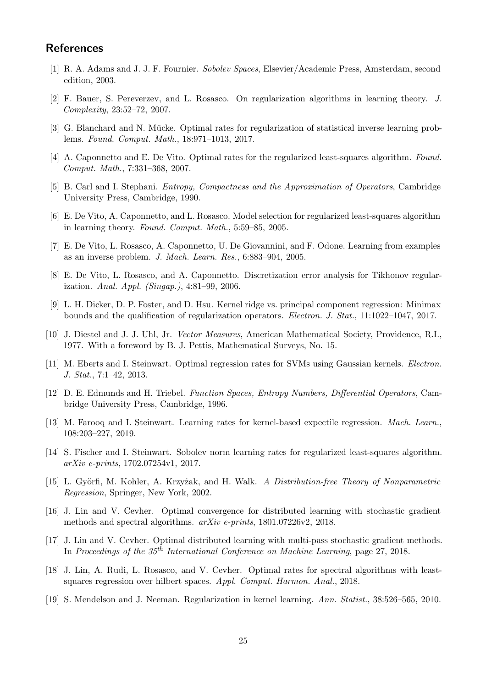# **References**

- <span id="page-24-15"></span>[1] R. A. Adams and J. J. F. Fournier. Sobolev Spaces, Elsevier/Academic Press, Amsterdam, second edition, 2003.
- <span id="page-24-4"></span>[2] F. Bauer, S. Pereverzev, and L. Rosasco. On regularization algorithms in learning theory. J. Complexity, 23:52–72, 2007.
- <span id="page-24-6"></span>[3] G. Blanchard and N. Mücke. Optimal rates for regularization of statistical inverse learning problems. Found. Comput. Math., 18:971–1013, 2017.
- <span id="page-24-5"></span>[4] A. Caponnetto and E. De Vito. Optimal rates for the regularized least-squares algorithm. Found. Comput. Math., 7:331–368, 2007.
- <span id="page-24-16"></span>[5] B. Carl and I. Stephani. Entropy, Compactness and the Approximation of Operators, Cambridge University Press, Cambridge, 1990.
- <span id="page-24-1"></span>[6] E. De Vito, A. Caponnetto, and L. Rosasco. Model selection for regularized least-squares algorithm in learning theory. Found. Comput. Math., 5:59–85, 2005.
- <span id="page-24-2"></span>[7] E. De Vito, L. Rosasco, A. Caponnetto, U. De Giovannini, and F. Odone. Learning from examples as an inverse problem. J. Mach. Learn. Res., 6:883–904, 2005.
- <span id="page-24-3"></span>[8] E. De Vito, L. Rosasco, and A. Caponnetto. Discretization error analysis for Tikhonov regularization. Anal. Appl. (Singap.), 4:81–99, 2006.
- <span id="page-24-7"></span>[9] L. H. Dicker, D. P. Foster, and D. Hsu. Kernel ridge vs. principal component regression: Minimax bounds and the qualification of regularization operators. Electron. J. Stat., 11:1022–1047, 2017.
- <span id="page-24-18"></span>[10] J. Diestel and J. J. Uhl, Jr. Vector Measures, American Mathematical Society, Providence, R.I., 1977. With a foreword by B. J. Pettis, Mathematical Surveys, No. 15.
- <span id="page-24-13"></span>[11] M. Eberts and I. Steinwart. Optimal regression rates for SVMs using Gaussian kernels. Electron. J. Stat., 7:1–42, 2013.
- <span id="page-24-17"></span>[12] D. E. Edmunds and H. Triebel. Function Spaces, Entropy Numbers, Differential Operators, Cambridge University Press, Cambridge, 1996.
- <span id="page-24-12"></span>[13] M. Farooq and I. Steinwart. Learning rates for kernel-based expectile regression. Mach. Learn., 108:203–227, 2019.
- <span id="page-24-14"></span>[14] S. Fischer and I. Steinwart. Sobolev norm learning rates for regularized least-squares algorithm. arXiv e-prints, 1702.07254v1, 2017.
- <span id="page-24-0"></span>[15] L. Györfi, M. Kohler, A. Krzyżak, and H. Walk. A Distribution-free Theory of Nonparametric Regression, Springer, New York, 2002.
- <span id="page-24-9"></span>[16] J. Lin and V. Cevher. Optimal convergence for distributed learning with stochastic gradient methods and spectral algorithms. arXiv e-prints, 1801.07226v2, 2018.
- <span id="page-24-11"></span>[17] J. Lin and V. Cevher. Optimal distributed learning with multi-pass stochastic gradient methods. In Proceedings of the 35<sup>th</sup> International Conference on Machine Learning, page 27, 2018.
- <span id="page-24-8"></span>[18] J. Lin, A. Rudi, L. Rosasco, and V. Cevher. Optimal rates for spectral algorithms with leastsquares regression over hilbert spaces. Appl. Comput. Harmon. Anal., 2018.
- <span id="page-24-10"></span>[19] S. Mendelson and J. Neeman. Regularization in kernel learning. Ann. Statist., 38:526–565, 2010.